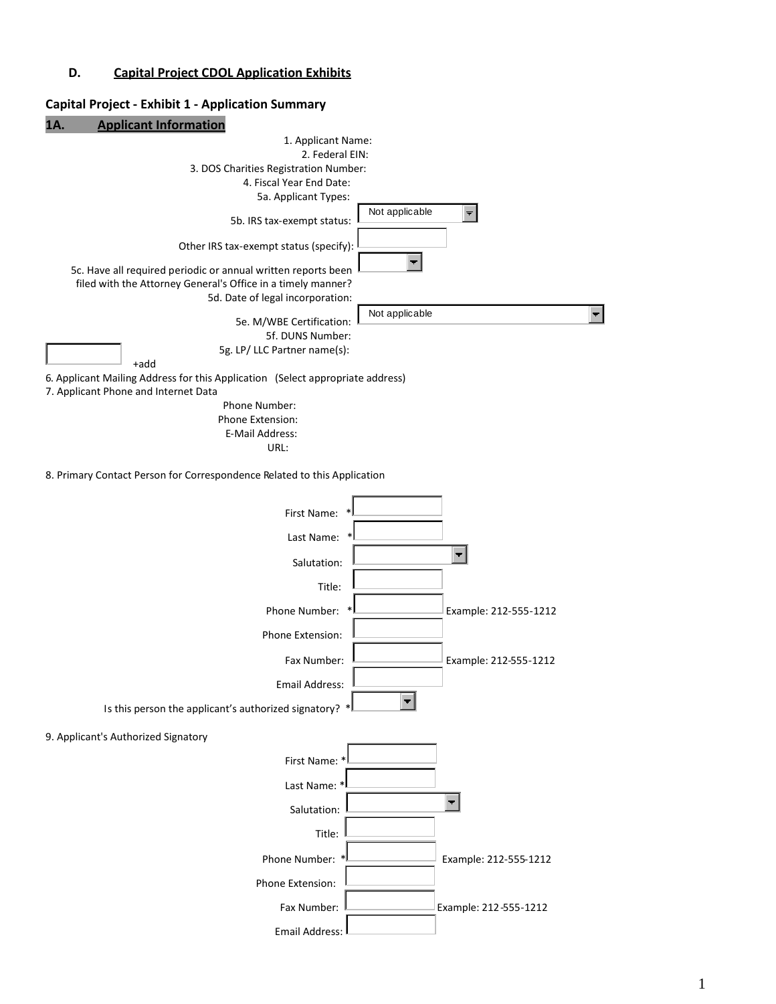#### **D. Capital Project CDOL Application Exhibits**

# **Capital Project - Exhibit 1 - Application Summary 1A. Applicant Information** 1. Applicant Name: 2. Federal EIN: 3. DOS Charities Registration Number: 4. Fiscal Year End Date: 5a. Applicant Types: Not applicable  $\blacksquare$ 5b. IRS tax-exempt status: Other IRS tax-exempt status (specify):  $\blacktriangledown$ 5c. Have all required periodic or annual written reports been filed with the Attorney General's Office in a timely manner? 5d. Date of legal incorporation: Not applicable 5e. M/WBE Certification: 5f. DUNS Number: 5g. LP/ LLC Partner name(s): +add 6. Applicant Mailing Address for this Application (Select appropriate address) 7. Applicant Phone and Internet Data Phone Number: Phone Extension: E-Mail Address: URL: 8. Primary Contact Person for Correspondence Related to this Application First Name: Last Name: Salutation: Title: Phone Number: \* Example: 212-555-1212 Phone Extension: Fax Number: **L\_\_\_\_\_\_\_\_\_\_\_\_\_\_\_\_** Example: 212-555-1212 Email Address:  $\blacksquare$ Is this person the applicant's authorized signatory? \* 9. Applicant's Authorized Signatory First Name: \* Last Name:  $\blacksquare$ Salutation: Title: Phone Number: \* Example: 212-555-1212 Phone Extension: Fax Number: **L\_\_\_\_\_\_\_\_\_\_\_\_\_\_\_\_** Example: 212-555-1212 Email Address: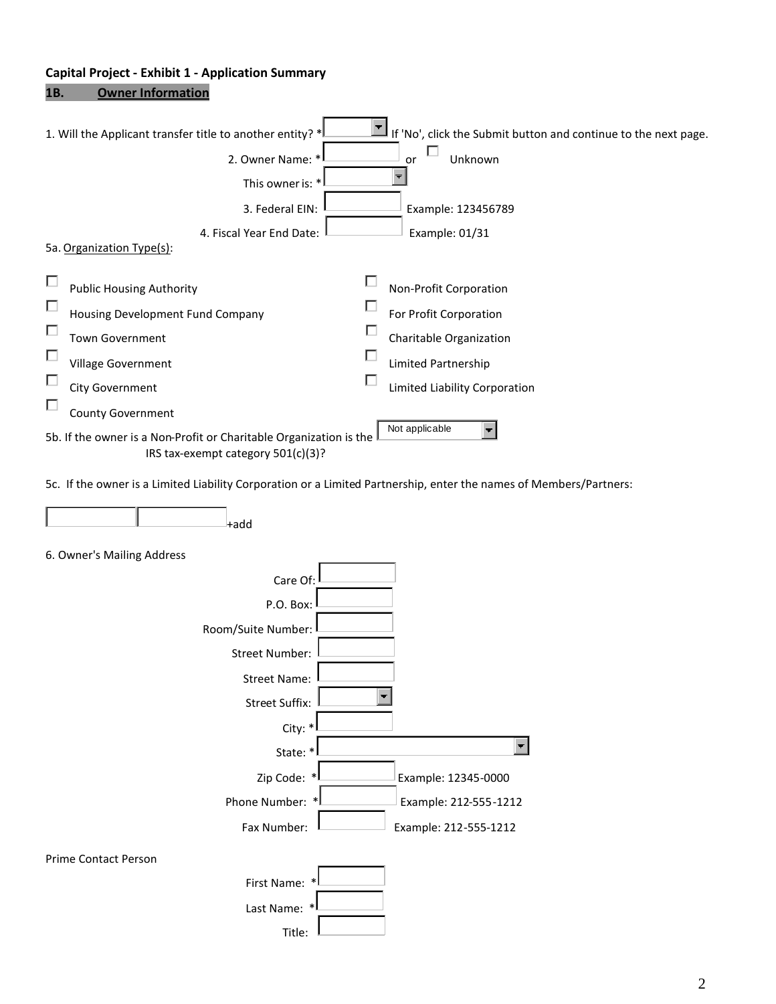# **Capital Project - Exhibit 1 - Application Summary**

# **1B. Owner Information**

|   | If 'No', click the Submit button and continue to the next page.<br>1. Will the Applicant transfer title to another entity? * |
|---|------------------------------------------------------------------------------------------------------------------------------|
|   | Unknown<br>2. Owner Name: *<br>or                                                                                            |
|   | This owner is: *                                                                                                             |
|   | 3. Federal EIN:<br>Example: 123456789                                                                                        |
|   | 4. Fiscal Year End Date:<br>Example: 01/31                                                                                   |
|   | 5a. Organization Type(s):                                                                                                    |
| П | □<br><b>Public Housing Authority</b><br>Non-Profit Corporation                                                               |
| П | For Profit Corporation<br>Housing Development Fund Company                                                                   |
| П | Town Government<br>Charitable Organization                                                                                   |
| П | □<br>Village Government<br>Limited Partnership                                                                               |
| П | г<br><b>City Government</b><br>Limited Liability Corporation                                                                 |
| П | <b>County Government</b>                                                                                                     |
|   | Not applicable<br>5b. If the owner is a Non-Profit or Charitable Organization is the<br>IRS tax-exempt category 501(c)(3)?   |
|   | 5c. If the owner is a Limited Liability Corporation or a Limited Partnership, enter the names of Members/Partners:           |
|   | $+$ add                                                                                                                      |
|   | 6. Owner's Mailing Address                                                                                                   |
|   | Care Of:                                                                                                                     |
|   | P.O. Box:                                                                                                                    |
|   | Room/Suite Number:                                                                                                           |
|   | <b>Street Number:</b>                                                                                                        |
|   | <b>Street Name:</b>                                                                                                          |
|   | <b>Street Suffix:</b>                                                                                                        |
|   | City: *                                                                                                                      |
|   | State: *                                                                                                                     |
|   | Zip Code: *<br>Example: 12345-0000                                                                                           |

Fax Number: Example: 212-555-1212

Phone Number: \* Example: 212-555-1212

Prime Contact Person

| $\ast$<br>First Name: |  |
|-----------------------|--|
| Last Name: *!         |  |
| Title:                |  |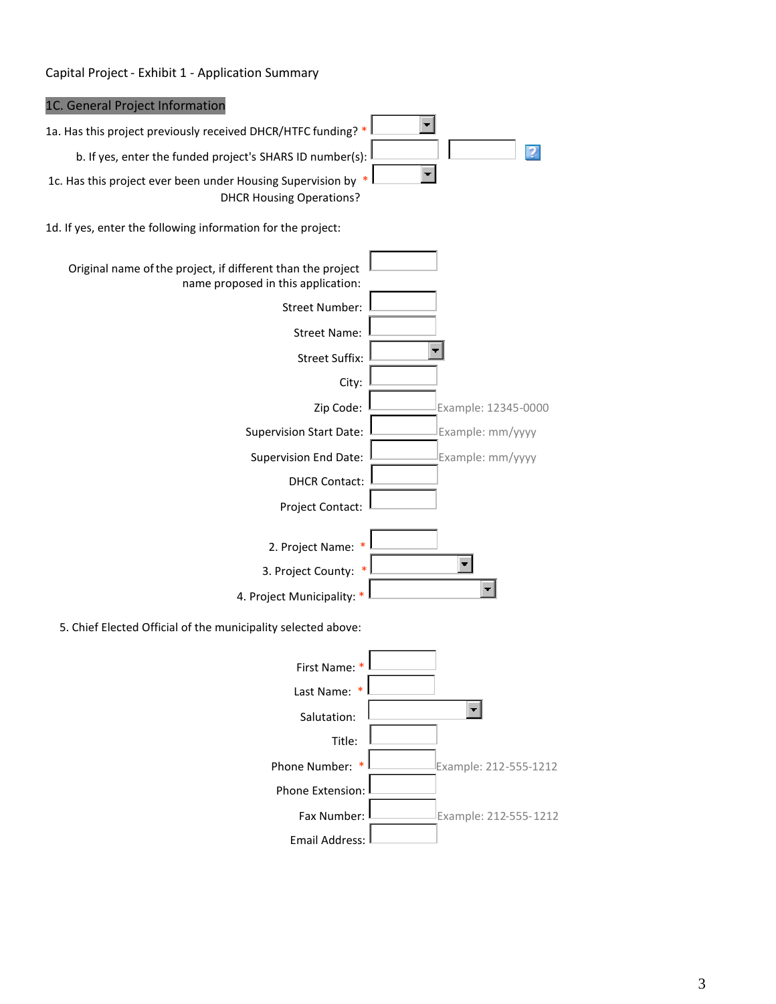#### Capital Project- Exhibit 1 - Application Summary

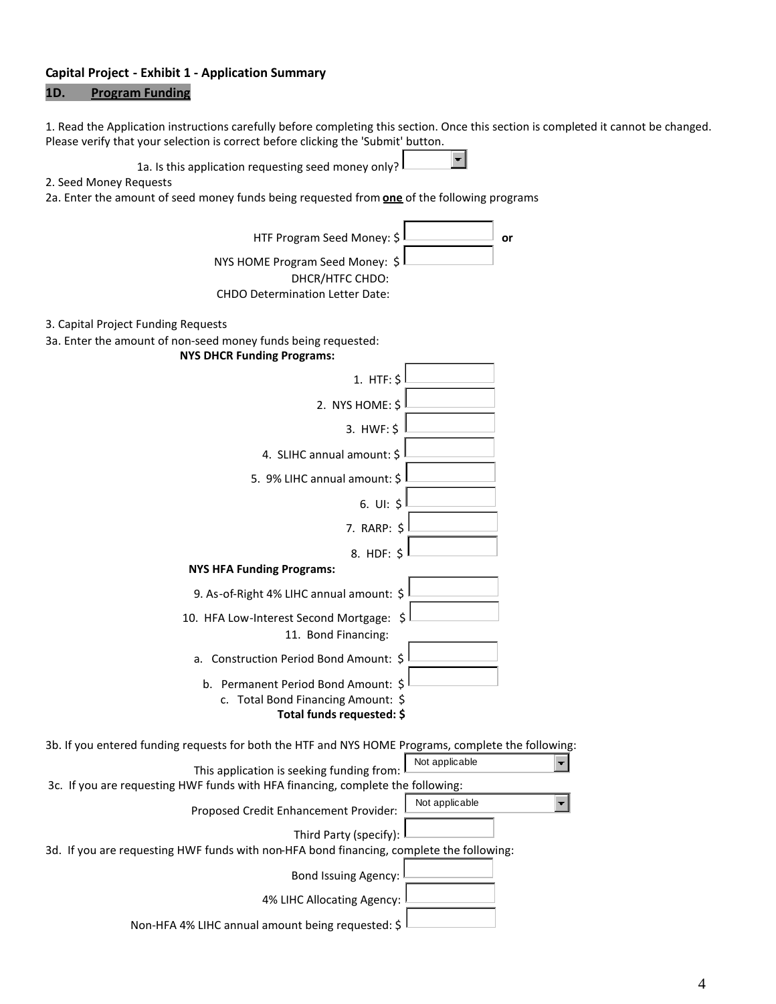#### **Capital Project - Exhibit 1 - Application Summary**

#### **1D. Program Funding**

1. Read the Application instructions carefully before completing this section. Once this section is completed it cannot be changed. Please verify that your selection is correct before clicking the 'Submit' button.



#### 2. Seed Money Requests

2a. Enter the amount of seed money funds being requested from **one** of the following programs

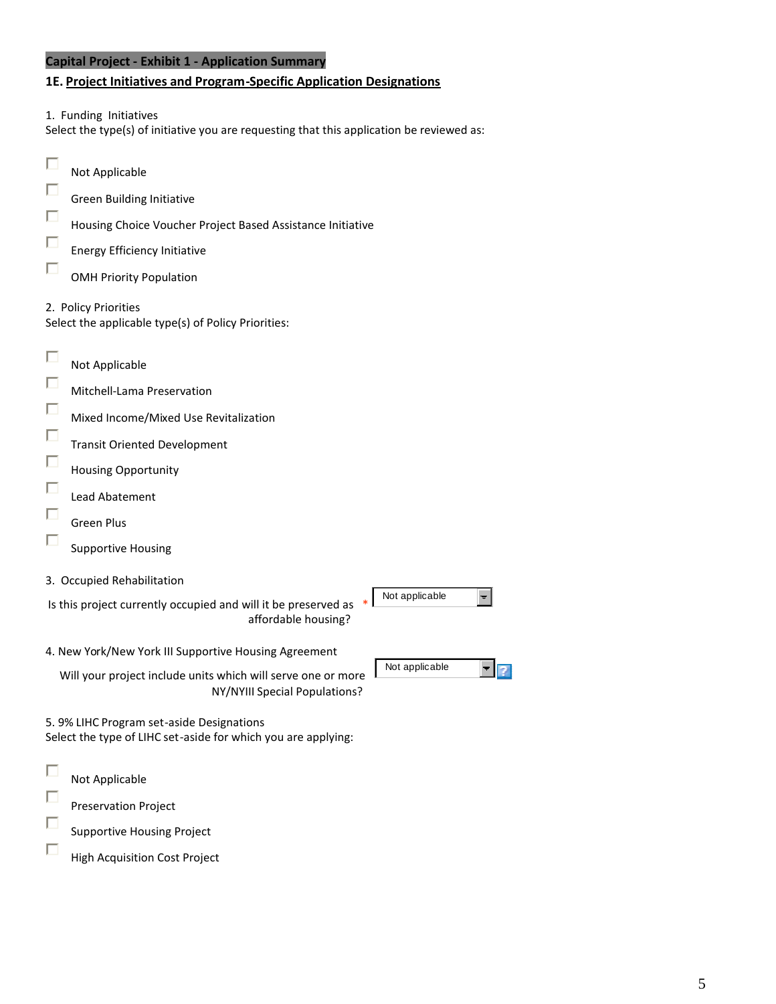#### **Capital Project - Exhibit 1 - Application Summary**

#### **1E. Project Initiatives and Program-Specific Application Designations**

1. Funding Initiatives

Select the type(s) of initiative you are requesting that this application be reviewed as:

 $\Box$ Not Applicable П Green Building Initiative П Housing Choice Voucher Project Based Assistance Initiative П Energy Efficiency Initiative П OMH Priority Population 2. Policy Priorities Select the applicable type(s) of Policy Priorities: П Not Applicable П Mitchell-Lama Preservation П Mixed Income/Mixed Use Revitalization П Transit Oriented Development  $\Box$ Housing Opportunity П Lead Abatement П Green Plus П Supportive Housing 3. Occupied Rehabilitation Not applicable  $\left. \cdot \right\vert$ Is this project currently occupied and will it be preserved as \* affordable housing? 4. New York/New York III Supportive Housing Agreement Not applicable  $\overline{2}$ Will your project include units which will serve one or more NY/NYIII Special Populations? 5. 9% LIHC Program set-aside Designations Select the type of LIHC set-aside for which you are applying:  $\Box$ Not Applicable П Preservation Project  $\Box$ Supportive Housing Project  $\Box$ 

High Acquisition Cost Project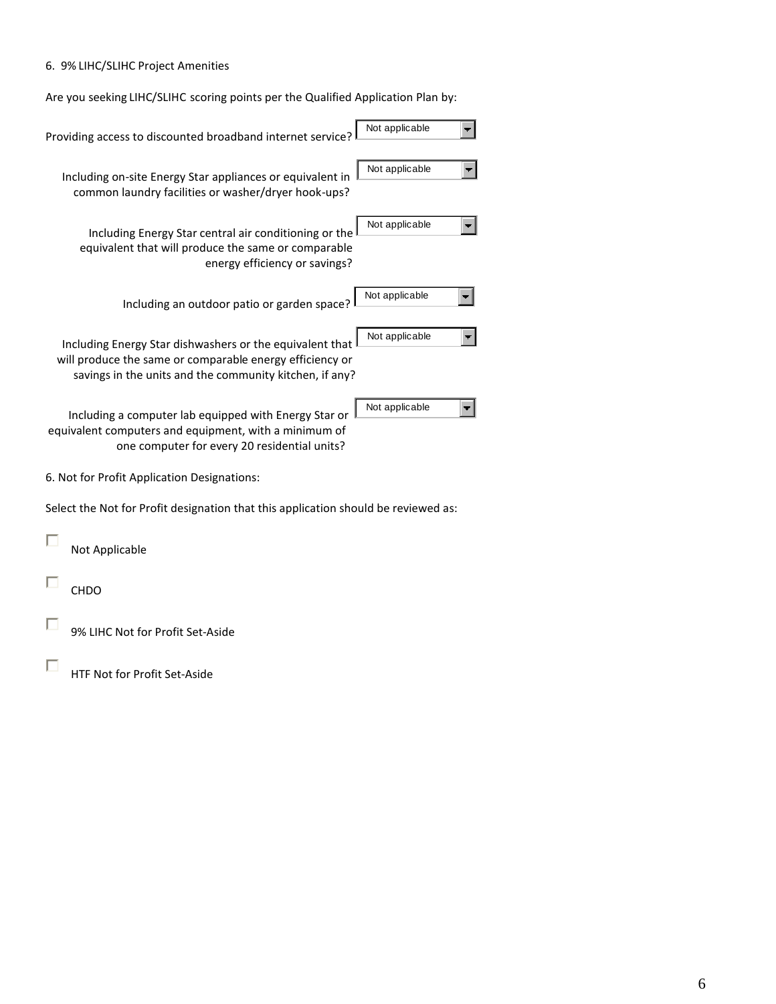#### 6. 9% LIHC/SLIHC Project Amenities

Are you seeking LIHC/SLIHC scoring points per the Qualified Application Plan by:

| Providing access to discounted broadband internet service?                                                                                                                      | Not applicable |
|---------------------------------------------------------------------------------------------------------------------------------------------------------------------------------|----------------|
| Including on-site Energy Star appliances or equivalent in<br>common laundry facilities or washer/dryer hook-ups?                                                                | Not applicable |
| Including Energy Star central air conditioning or the<br>equivalent that will produce the same or comparable<br>energy efficiency or savings?                                   | Not applicable |
| Including an outdoor patio or garden space?                                                                                                                                     | Not applicable |
| Including Energy Star dishwashers or the equivalent that<br>will produce the same or comparable energy efficiency or<br>savings in the units and the community kitchen, if any? | Not applicable |
| Including a computer lab equipped with Energy Star or<br>equivalent computers and equipment, with a minimum of<br>one computer for every 20 residential units?                  | Not applicable |
| 6. Not for Profit Application Designations:                                                                                                                                     |                |
| Select the Not for Profit designation that this application should be reviewed as:                                                                                              |                |
| Not Applicable                                                                                                                                                                  |                |
| <b>CHDO</b>                                                                                                                                                                     |                |
| 9% LIHC Not for Profit Set-Aside                                                                                                                                                |                |

 $\Box$ HTF Not for Profit Set-Aside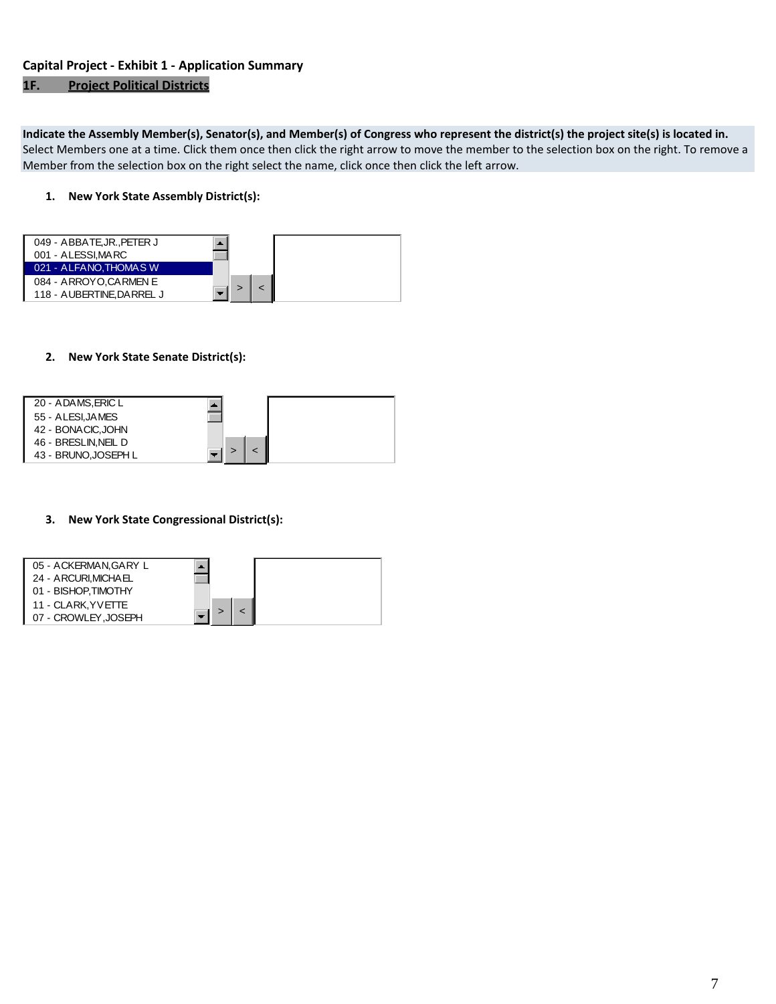#### **Capital Project - Exhibit 1 - Application Summary**

#### **1F. Project Political Districts**

**Indicate the Assembly Member(s), Senator(s), and Member(s) of Congress who represent the district(s) the project site(s) is located in.** Select Members one at a time. Click them once then click the right arrow to move the member to the selection box on the right. To remove a Member from the selection box on the right select the name, click once then click the left arrow.

#### **1. New York State Assembly District(s):**



#### **2. New York State Senate District(s):**



#### **3. New York State Congressional District(s):**

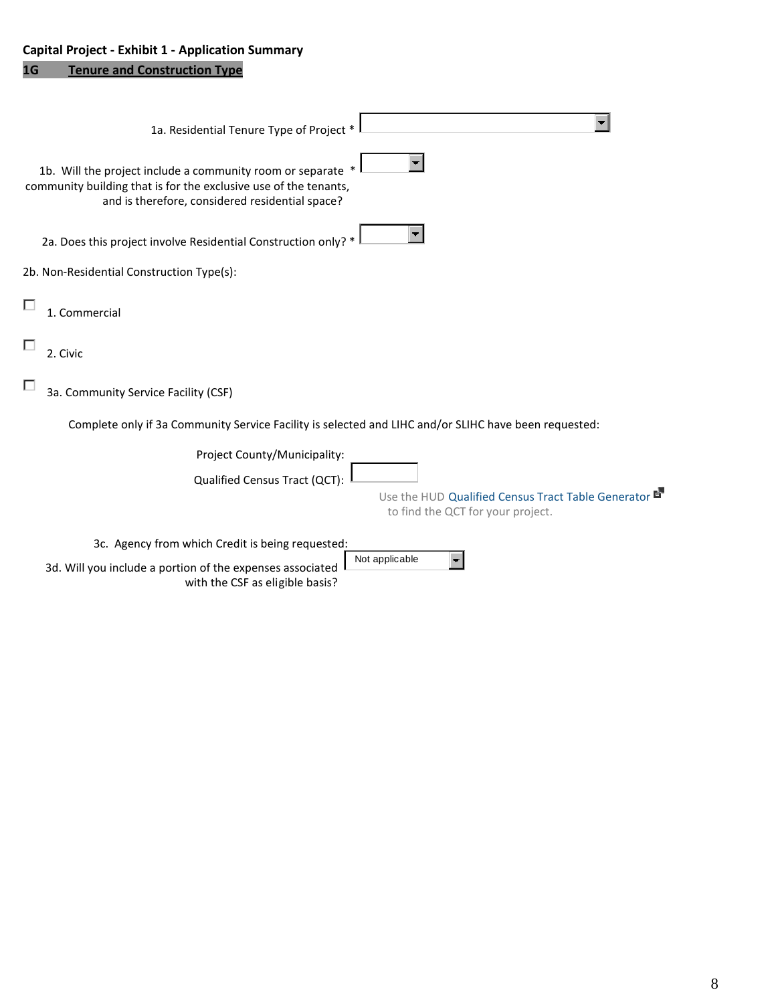# **Capital Project - Exhibit 1 - Application Summary**

# **1G Tenure and Construction Type**

| 1a. Residential Tenure Type of Project *                                                                                                                                         |
|----------------------------------------------------------------------------------------------------------------------------------------------------------------------------------|
| 1b. Will the project include a community room or separate<br>community building that is for the exclusive use of the tenants,<br>and is therefore, considered residential space? |
| 2a. Does this project involve Residential Construction only? *                                                                                                                   |
| 2b. Non-Residential Construction Type(s):                                                                                                                                        |
| 1. Commercial                                                                                                                                                                    |
| 2. Civic                                                                                                                                                                         |
| 3a. Community Service Facility (CSF)                                                                                                                                             |
| Complete only if 3a Community Service Facility is selected and LIHC and/or SLIHC have been requested:                                                                            |
| Project County/Municipality:<br>Qualified Census Tract (QCT):<br>Use the HUD Qualified Census Tract Table Generator<br>to find the QCT for your project.                         |
|                                                                                                                                                                                  |
| 3c. Agency from which Credit is being requested:<br>Not applicable<br>3d. Will you include a portion of the expenses associated                                                  |
| with the CSF as eligible basis?                                                                                                                                                  |

8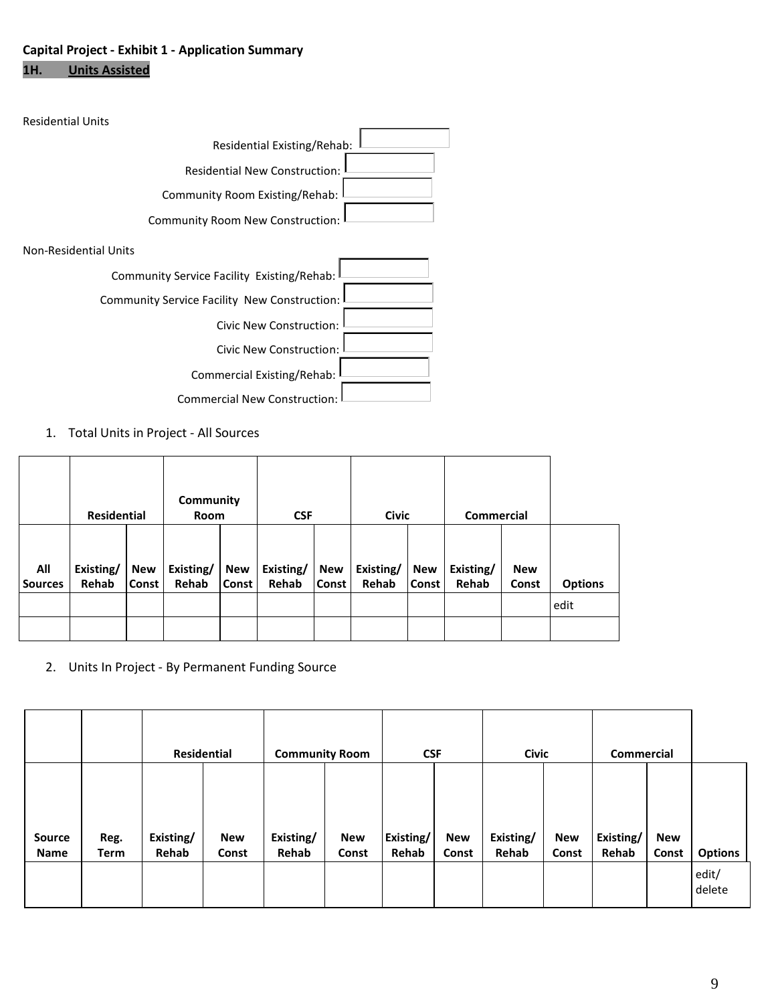# **Capital Project - Exhibit 1 - Application Summary 1H. Units Assisted**

| <b>Residential Units</b>                     |
|----------------------------------------------|
| Residential Existing/Rehab:                  |
| <b>Residential New Construction:</b>         |
| Community Room Existing/Rehab:               |
| <b>Community Room New Construction:</b>      |
| Non-Residential Units                        |
| Community Service Facility Existing/Rehab:   |
| Community Service Facility New Construction: |
| <b>Civic New Construction:</b>               |
| Civic New Construction:                      |
| Commercial Existing/Rehab:                   |
| <b>Commercial New Construction:</b>          |

1. Total Units in Project - All Sources

|                       | <b>Residential</b> |                            | Community<br><b>Room</b> |              | <b>CSF</b>         |                     | <b>Civic</b>       |                            | <b>Commercial</b>  |                     |                |
|-----------------------|--------------------|----------------------------|--------------------------|--------------|--------------------|---------------------|--------------------|----------------------------|--------------------|---------------------|----------------|
| All<br><b>Sources</b> | Existing/<br>Rehab | <b>New</b><br><b>Const</b> | Existing/<br>Rehab       | New<br>Const | Existing/<br>Rehab | New<br><b>Const</b> | Existing/<br>Rehab | <b>New</b><br><b>Const</b> | Existing/<br>Rehab | <b>New</b><br>Const | <b>Options</b> |
|                       |                    |                            |                          |              |                    |                     |                    |                            |                    |                     | edit           |
|                       |                    |                            |                          |              |                    |                     |                    |                            |                    |                     |                |

2. Units In Project - By Permanent Funding Source

|                       |                     | Residential        |                     | <b>Community Room</b> |                     | <b>CSF</b>         |                     | <b>Civic</b>       |                     | Commercial         |                     |                 |
|-----------------------|---------------------|--------------------|---------------------|-----------------------|---------------------|--------------------|---------------------|--------------------|---------------------|--------------------|---------------------|-----------------|
| Source<br><b>Name</b> | Reg.<br><b>Term</b> | Existing/<br>Rehab | <b>New</b><br>Const | Existing/<br>Rehab    | <b>New</b><br>Const | Existing/<br>Rehab | <b>New</b><br>Const | Existing/<br>Rehab | <b>New</b><br>Const | Existing/<br>Rehab | <b>New</b><br>Const | <b>Options</b>  |
|                       |                     |                    |                     |                       |                     |                    |                     |                    |                     |                    |                     | edit/<br>delete |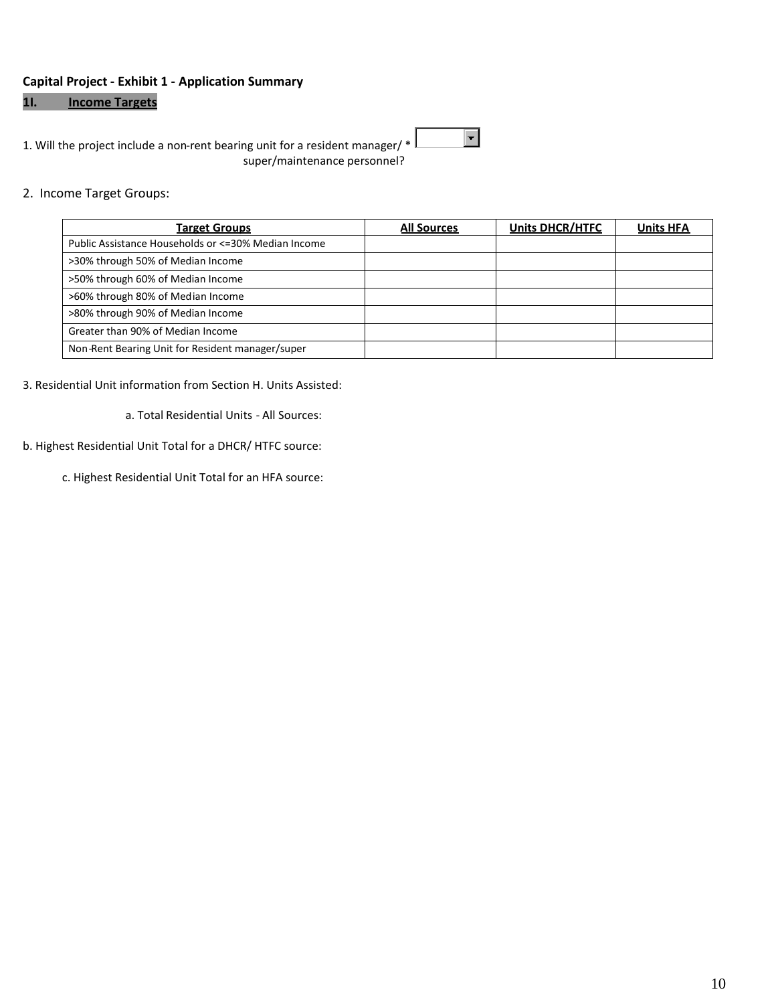#### **Capital Project - Exhibit 1 - Application Summary**

## **1I. Income Targets**

1. Will the project include a non-rent bearing unit for a resident manager/  $*$  | super/maintenance personnel?

#### 2. Income Target Groups:

| <b>Target Groups</b>                                 | <b>All Sources</b> | <b>Units DHCR/HTFC</b> | <b>Units HFA</b> |
|------------------------------------------------------|--------------------|------------------------|------------------|
| Public Assistance Households or <= 30% Median Income |                    |                        |                  |
| >30% through 50% of Median Income                    |                    |                        |                  |
| >50% through 60% of Median Income                    |                    |                        |                  |
| >60% through 80% of Median Income                    |                    |                        |                  |
| >80% through 90% of Median Income                    |                    |                        |                  |
| Greater than 90% of Median Income                    |                    |                        |                  |
| Non-Rent Bearing Unit for Resident manager/super     |                    |                        |                  |

 $\blacksquare$ 

#### 3. Residential Unit information from Section H. Units Assisted:

a. Total Residential Units - All Sources:

#### b. Highest Residential Unit Total for a DHCR/ HTFC source:

c. Highest Residential Unit Total for an HFA source: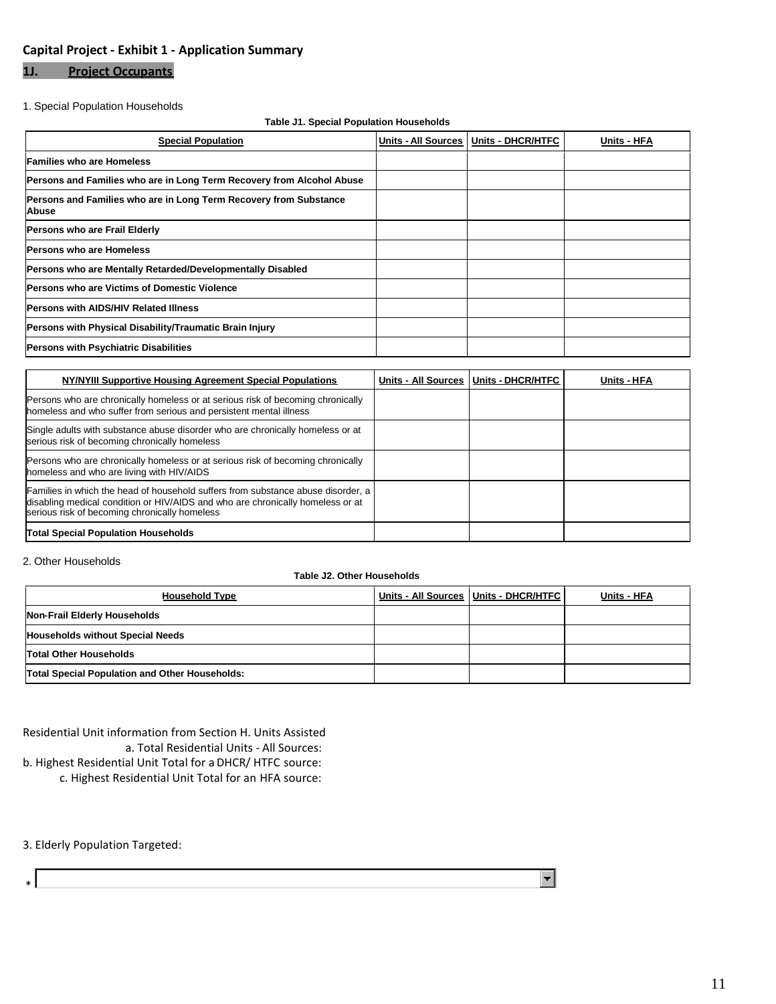## **Capital Project - Exhibit 1 - Application Summary**

# **1J. Project Occupants**

#### 1. Special Population Households

#### **Table J1. Special Population Households**

| <b>Special Population</b>                                                  | Units - All Sources | Units - DHCR/HTFC | Units - HFA |
|----------------------------------------------------------------------------|---------------------|-------------------|-------------|
| <b>Families who are Homeless</b>                                           |                     |                   |             |
| Persons and Families who are in Long Term Recovery from Alcohol Abuse      |                     |                   |             |
| Persons and Families who are in Long Term Recovery from Substance<br>Abuse |                     |                   |             |
| Persons who are Frail Elderly                                              |                     |                   |             |
| <b>Persons who are Homeless</b>                                            |                     |                   |             |
| Persons who are Mentally Retarded/Developmentally Disabled                 |                     |                   |             |
| <b>Persons who are Victims of Domestic Violence</b>                        |                     |                   |             |
| <b>Persons with AIDS/HIV Related Illness</b>                               |                     |                   |             |
| Persons with Physical Disability/Traumatic Brain Injury                    |                     |                   |             |
| Persons with Psychiatric Disabilities                                      |                     |                   |             |

| NY/NYIII Supportive Housing Agreement Special Populations                                                                                                                                                           | Units - All Sources   Units - DHCR/HTFC | Units - HFA |
|---------------------------------------------------------------------------------------------------------------------------------------------------------------------------------------------------------------------|-----------------------------------------|-------------|
| Persons who are chronically homeless or at serious risk of becoming chronically<br>homeless and who suffer from serious and persistent mental illness                                                               |                                         |             |
| Single adults with substance abuse disorder who are chronically homeless or at<br>serious risk of becoming chronically homeless                                                                                     |                                         |             |
| Persons who are chronically homeless or at serious risk of becoming chronically<br>homeless and who are living with HIV/AIDS                                                                                        |                                         |             |
| Families in which the head of household suffers from substance abuse disorder, a<br>disabling medical condition or HIV/AIDS and who are chronically homeless or at<br>serious risk of becoming chronically homeless |                                         |             |
| <b>Total Special Population Households</b>                                                                                                                                                                          |                                         |             |

#### 2. Other Households

#### **Table J2. Other Households**

| <b>Household Type</b>                          | Units - All Sources   Units - DHCR/HTFC | Units - HFA |
|------------------------------------------------|-----------------------------------------|-------------|
| Non-Frail Elderly Households                   |                                         |             |
| <b>Households without Special Needs</b>        |                                         |             |
| <b>Total Other Households</b>                  |                                         |             |
| Total Special Population and Other Households: |                                         |             |

Residential Unit information from Section H. Units Assisted a. Total Residential Units - All Sources:

b. Highest Residential Unit Total for a DHCR/ HTFC source:

c. Highest Residential Unit Total for an HFA source:

3. Elderly Population Targeted:

 $\overline{\phantom{a}}$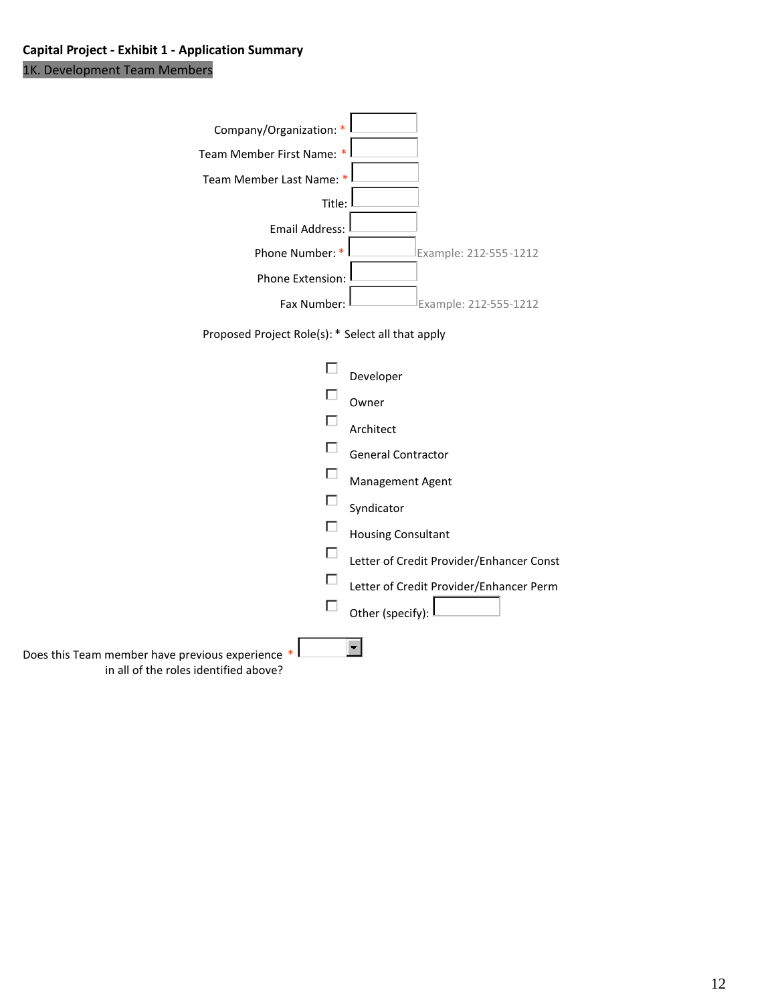1K. Development Team Members

| Company/Organization: *                                                                 |                                          |
|-----------------------------------------------------------------------------------------|------------------------------------------|
| Team Member First Name: *                                                               |                                          |
| Team Member Last Name: *                                                                |                                          |
| Title:                                                                                  |                                          |
| <b>Email Address:</b>                                                                   |                                          |
| Phone Number: *                                                                         | Example: 212-555-1212                    |
| Phone Extension:                                                                        |                                          |
| Fax Number:                                                                             | Example: 212-555-1212                    |
| Proposed Project Role(s): * Select all that apply                                       |                                          |
|                                                                                         |                                          |
|                                                                                         | Developer                                |
|                                                                                         | Owner                                    |
|                                                                                         | Architect                                |
|                                                                                         | <b>General Contractor</b>                |
|                                                                                         | Management Agent                         |
|                                                                                         | Syndicator                               |
|                                                                                         | <b>Housing Consultant</b>                |
|                                                                                         | Letter of Credit Provider/Enhancer Const |
|                                                                                         | Letter of Credit Provider/Enhancer Perm  |
| ш                                                                                       | Other (specify):                         |
|                                                                                         |                                          |
| Does this Team member have previous experience<br>in all of the roles identified above? |                                          |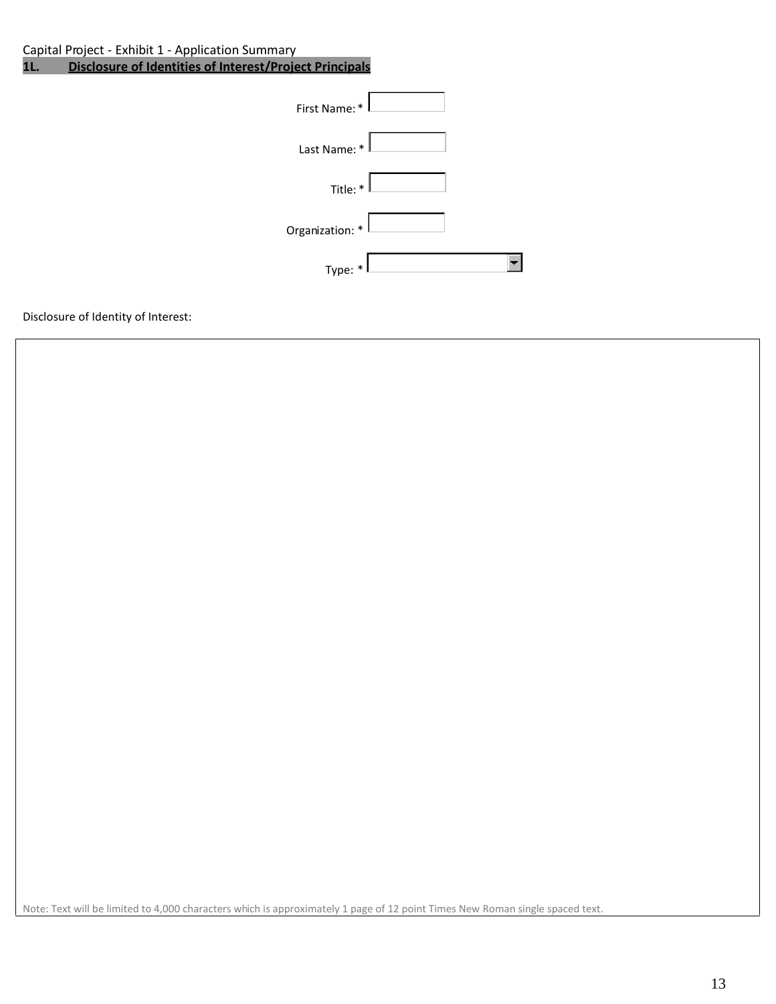Capital Project - Exhibit 1 - Application Summary<br>11. Disclosure of Identities of Interest/Proje

**Disclosure of Identities of Interest/Project Principals** 

| First Name: *   |  |
|-----------------|--|
| Last Name: *    |  |
| Title: $*$      |  |
| Organization: * |  |
| Type: *         |  |

Disclosure of Identity of Interest:

Note: Text will be limited to 4,000 characters which is approximately 1 page of 12 point Times New Roman single spaced text.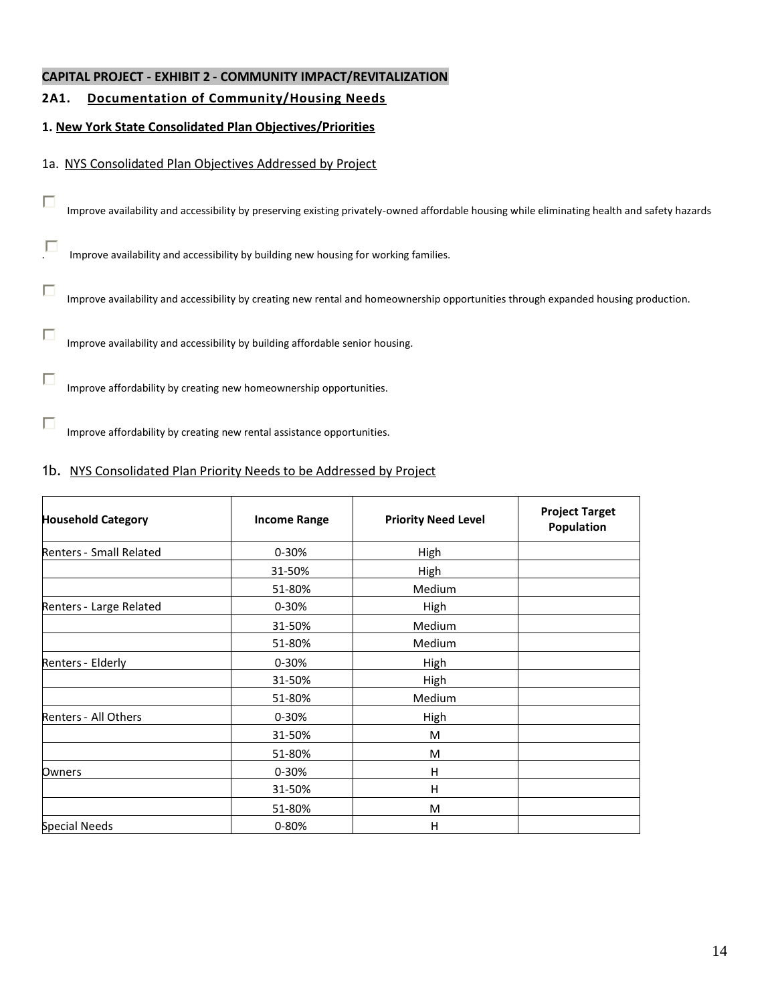# **2A1. Documentation of Community/Housing Needs**

# **1. New York State Consolidated Plan Objectives/Priorities**

## 1a. NYS Consolidated Plan Objectives Addressed by Project

 $\Box$ 

Improve availability and accessibility by preserving existing privately-owned affordable housing while eliminating health and safety hazards

. Improve availability and accessibility by building new housing for working families.

 $\Box$ Improve availability and accessibility by creating new rental and homeownership opportunities through expanded housing production.

 $\Box$ Improve availability and accessibility by building affordable senior housing.

 $\Box$ Improve affordability by creating new homeownership opportunities.

П Improve affordability by creating new rental assistance opportunities.

# 1b. NYS Consolidated Plan Priority Needs to be Addressed by Project

| <b>Household Category</b> | <b>Income Range</b> | <b>Priority Need Level</b> | <b>Project Target</b><br>Population |  |
|---------------------------|---------------------|----------------------------|-------------------------------------|--|
| Renters - Small Related   | 0-30%               | High                       |                                     |  |
|                           | 31-50%              | High                       |                                     |  |
|                           | 51-80%              | Medium                     |                                     |  |
| Renters - Large Related   | $0 - 30%$           | High                       |                                     |  |
|                           | 31-50%              | Medium                     |                                     |  |
|                           | 51-80%              | Medium                     |                                     |  |
| Renters - Elderly         | $0 - 30%$           | <b>High</b>                |                                     |  |
|                           | 31-50%              | High                       |                                     |  |
|                           | 51-80%              | Medium                     |                                     |  |
| Renters - All Others      | $0 - 30%$           | High                       |                                     |  |
|                           | 31-50%              | M                          |                                     |  |
|                           | 51-80%              | M                          |                                     |  |
| Owners                    | $0 - 30%$           | Н                          |                                     |  |
|                           | 31-50%              | H                          |                                     |  |
|                           | 51-80%              | M                          |                                     |  |
| <b>Special Needs</b>      | $0 - 80%$           | Н                          |                                     |  |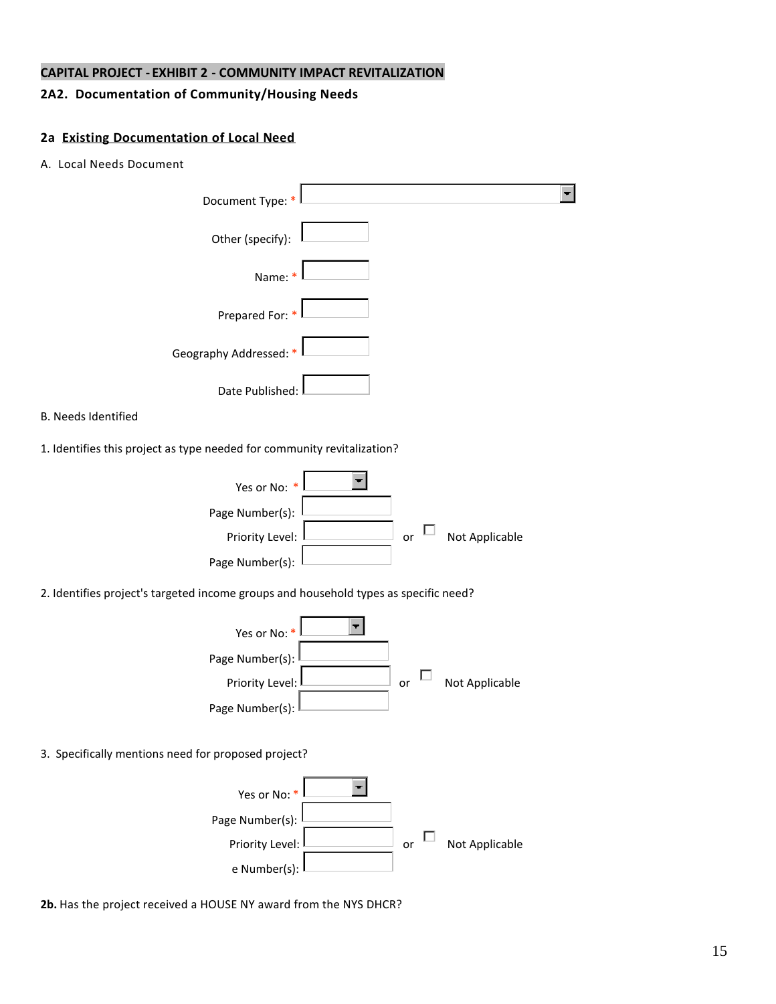## **2A2. Documentation of Community/Housing Needs**

#### **2a Existing Documentation of Local Need**

A. Local Needs Document

| Document Type:                                                                       |
|--------------------------------------------------------------------------------------|
| Other (specify):                                                                     |
| Name:                                                                                |
| Prepared For: *                                                                      |
| Geography Addressed: *                                                               |
| Date Published:                                                                      |
| <b>B. Needs Identified</b>                                                           |
| 1. Identifies this project as type needed for community revitalization?              |
| Yes or No: *<br>Page Number(s):                                                      |
| Not Applicable<br>Priority Level:<br>or<br>Page Number(s):                           |
| 2. Identifies project's targeted income groups and household types as specific need? |
| Yes or No: *                                                                         |
| Page Number(s):                                                                      |
| Not Applicable<br>Priority Level:<br>or                                              |
| Page Number(s):                                                                      |
| 3. Specifically mentions need for proposed project?                                  |



**2b.** Has the project received a HOUSE NY award from the NYS DHCR?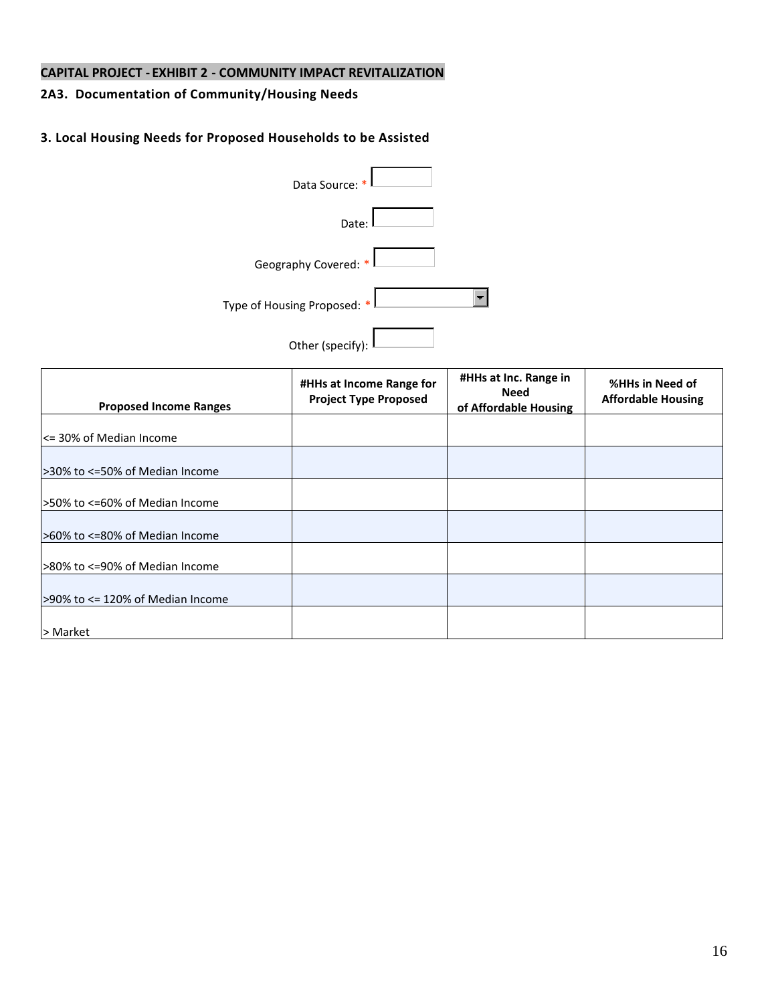# **2A3. Documentation of Community/Housing Needs**

## **3. Local Housing Needs for Proposed Households to be Assisted**

| Data Source: *              |  |
|-----------------------------|--|
| Date:                       |  |
| Geography Covered: *        |  |
| Type of Housing Proposed: * |  |
| Other (specify):            |  |

| <b>Proposed Income Ranges</b>    | #HHs at Income Range for<br><b>Project Type Proposed</b> | #HHs at Inc. Range in<br><b>Need</b><br>of Affordable Housing | %HHs in Need of<br><b>Affordable Housing</b> |
|----------------------------------|----------------------------------------------------------|---------------------------------------------------------------|----------------------------------------------|
| <= 30% of Median Income          |                                                          |                                                               |                                              |
| 530% to <=50% of Median Income   |                                                          |                                                               |                                              |
| 50% to <=60% of Median Income    |                                                          |                                                               |                                              |
| >60% to <=80% of Median Income   |                                                          |                                                               |                                              |
| 580% to <=90% of Median Income   |                                                          |                                                               |                                              |
| >90% to <= 120% of Median Income |                                                          |                                                               |                                              |
| > Market                         |                                                          |                                                               |                                              |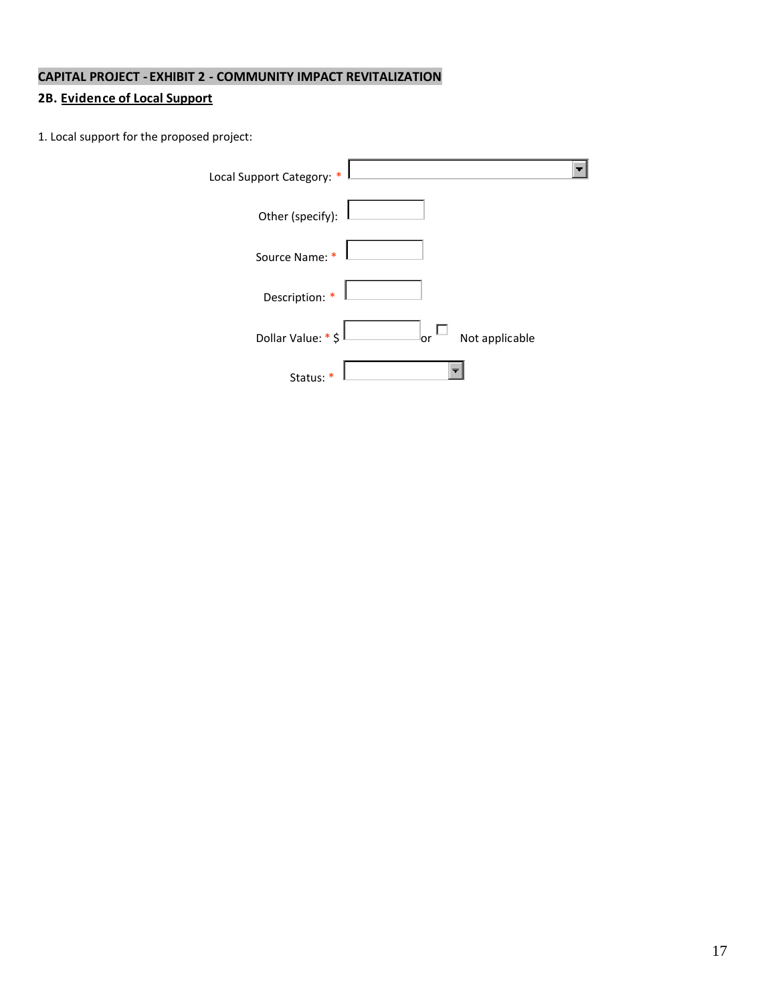# **2B. Evidence of Local Support**

1. Local support for the proposed project:

| Local Support Category: *                   |  |
|---------------------------------------------|--|
| Other (specify):                            |  |
| Source Name: *                              |  |
| Description: *                              |  |
| Dollar Value: * \$<br>Not applicable<br>lor |  |
| Status:                                     |  |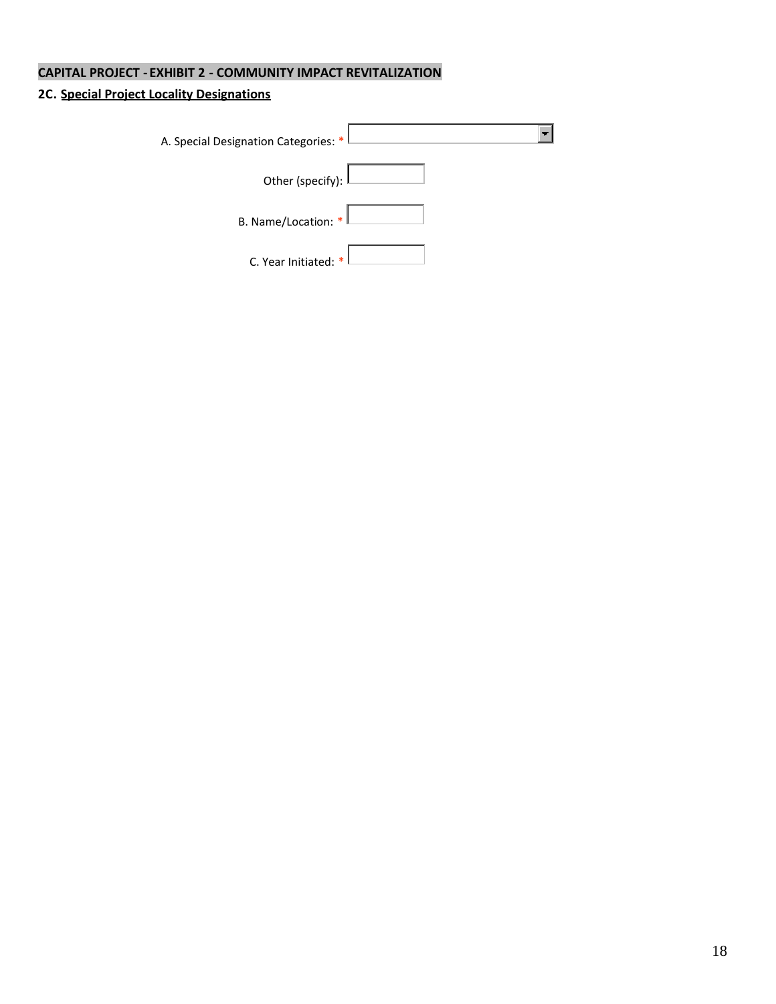# **2C. Special Project Locality Designations**

| A. Special Designation Categories: * <sup> </sup> |  |
|---------------------------------------------------|--|
| Other (specify): L                                |  |
| B. Name/Location: $*$                             |  |
| C. Year Initiated: $*$                            |  |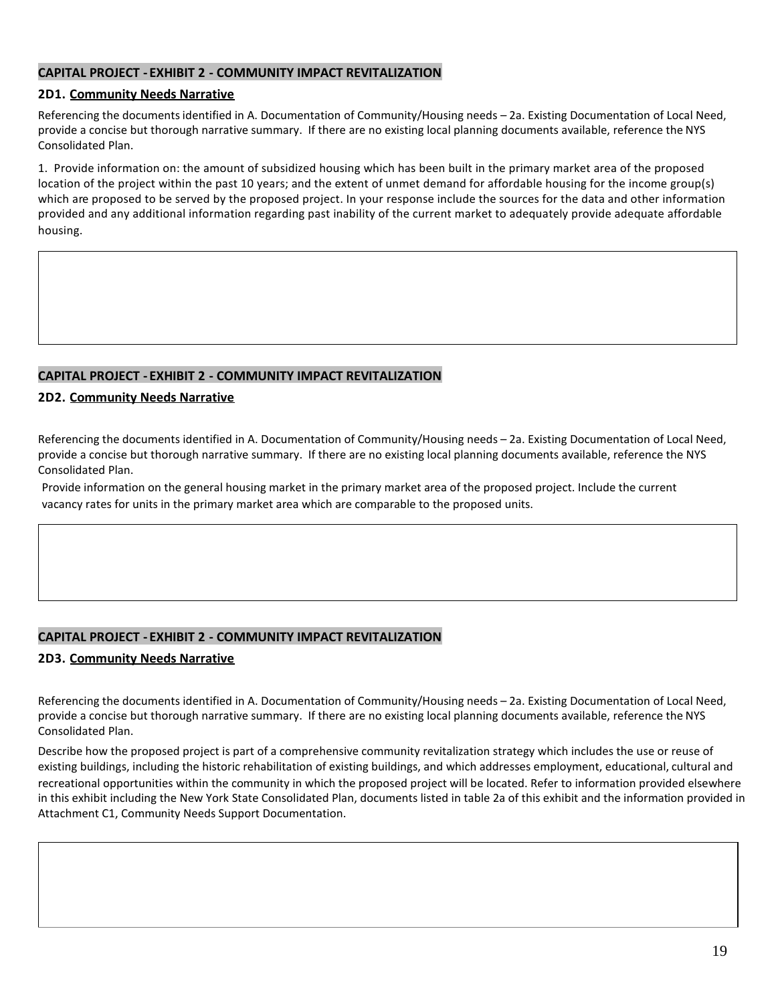#### **2D1. Community Needs Narrative**

Referencing the documentsidentified in A. Documentation of Community/Housing needs – 2a. Existing Documentation of Local Need, provide a concise but thorough narrative summary. If there are no existing local planning documents available, reference the NYS Consolidated Plan.

1. Provide information on: the amount of subsidized housing which has been built in the primary market area of the proposed location of the project within the past 10 years; and the extent of unmet demand for affordable housing for the income group(s) which are proposed to be served by the proposed project. In your response include the sources for the data and other information provided and any additional information regarding past inability of the current market to adequately provide adequate affordable housing.

#### **CAPITAL PROJECT - EXHIBIT 2 - COMMUNITY IMPACT REVITALIZATION**

#### **2D2. Community Needs Narrative**

Referencing the documents identified in A. Documentation of Community/Housing needs – 2a. Existing Documentation of Local Need, provide a concise but thorough narrative summary. If there are no existing local planning documents available, reference the NYS Consolidated Plan.

Provide information on the general housing market in the primary market area of the proposed project. Include the current vacancy rates for units in the primary market area which are comparable to the proposed units.

#### **CAPITAL PROJECT - EXHIBIT 2 - COMMUNITY IMPACT REVITALIZATION**

#### **2D3. Community Needs Narrative**

Referencing the documents identified in A. Documentation of Community/Housing needs – 2a. Existing Documentation of Local Need, provide a concise but thorough narrative summary. If there are no existing local planning documents available, reference the NYS Consolidated Plan.

Describe how the proposed project is part of a comprehensive community revitalization strategy which includes the use or reuse of existing buildings, including the historic rehabilitation of existing buildings, and which addresses employment, educational, cultural and recreational opportunities within the community in which the proposed project will be located. Refer to information provided elsewhere in this exhibit including the New York State Consolidated Plan, documents listed in table 2a of this exhibit and the information provided in Attachment C1, Community Needs Support Documentation.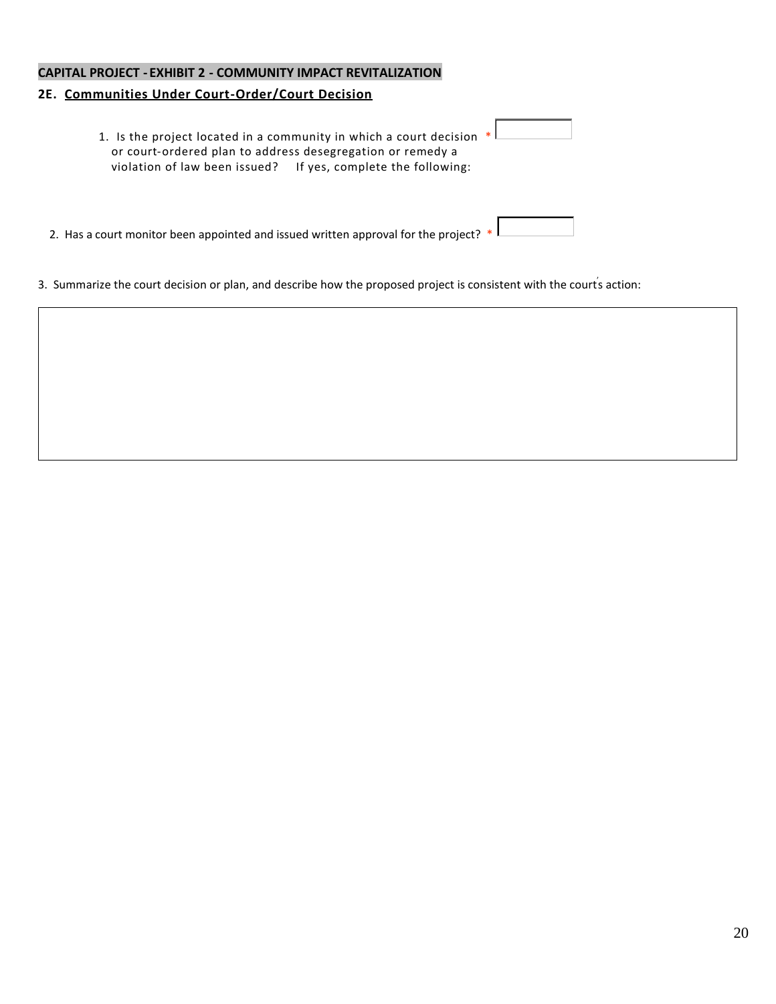## **2E. Communities Under Court-Order/Court Decision**

| 1. Is the project located in a community in which a court decision $*$<br>or court-ordered plan to address desegregation or remedy a<br>violation of law been issued? If yes, complete the following: |  |
|-------------------------------------------------------------------------------------------------------------------------------------------------------------------------------------------------------|--|
| 2. Has a court monitor been appointed and issued written approval for the project? $*$ l                                                                                                              |  |

3. Summarize the court decision or plan, and describe how the proposed project is consistent with the courts action: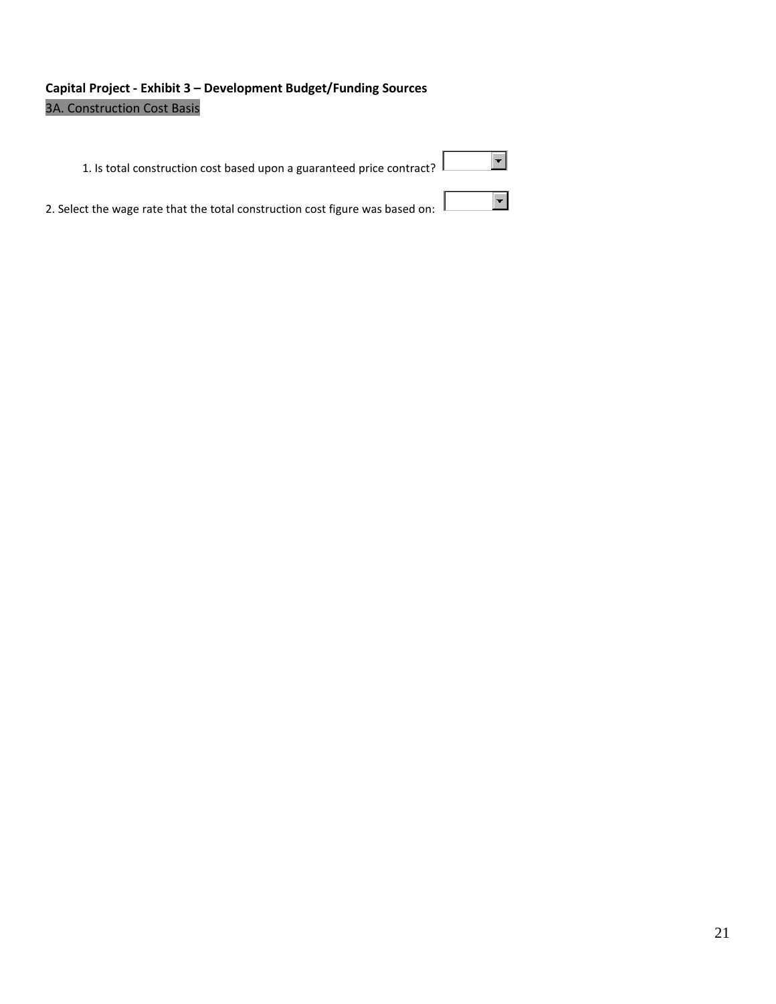# **Capital Project - Exhibit 3 – Development Budget/Funding Sources** 3A. Construction Cost Basis

| 1. Is total construction cost based upon a guaranteed price contract? L       |  |
|-------------------------------------------------------------------------------|--|
| 2. Select the wage rate that the total construction cost figure was based on: |  |

21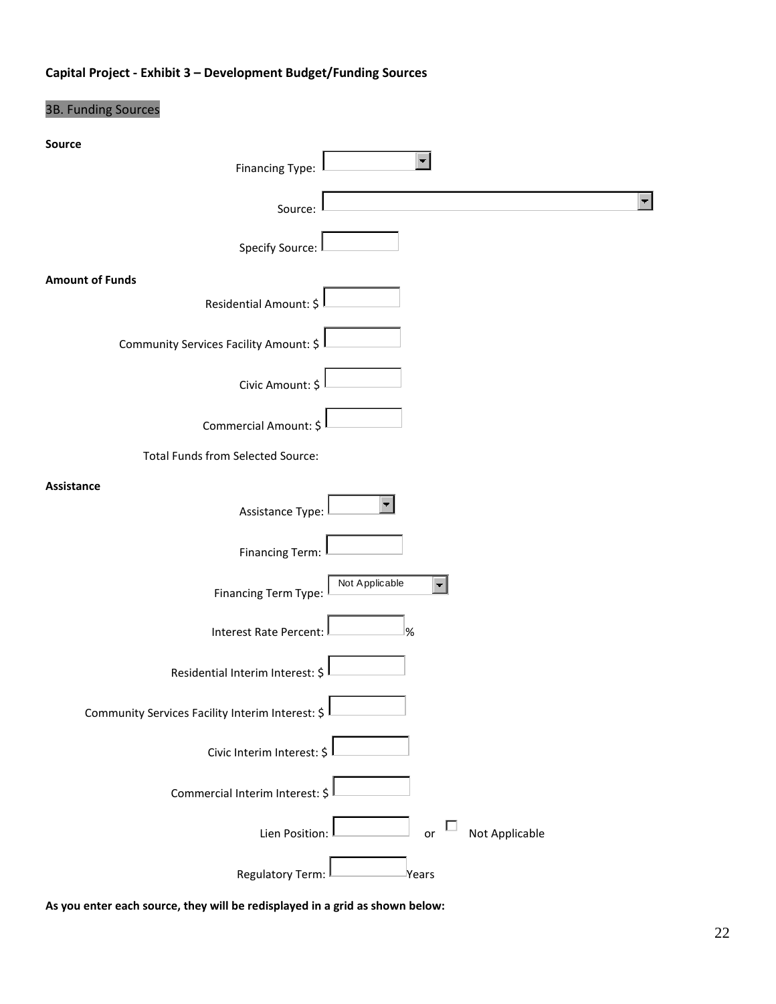# **Capital Project - Exhibit 3 – Development Budget/Funding Sources**

# 3B. Funding Sources

| Source                                           |
|--------------------------------------------------|
| <b>Financing Type:</b>                           |
| $\blacksquare$<br>Source:                        |
| <b>Specify Source:</b>                           |
| <b>Amount of Funds</b><br>Residential Amount: \$ |
| Community Services Facility Amount: \$           |
| Civic Amount: \$                                 |
| Commercial Amount: \$                            |
| <b>Total Funds from Selected Source:</b>         |
| Assistance<br>Assistance Type:                   |
| <b>Financing Term:</b>                           |
| Not Applicable<br>Financing Term Type:           |
| Interest Rate Percent:<br>%                      |
| Residential Interim Interest: \$                 |
| Community Services Facility Interim Interest: \$ |
| Civic Interim Interest: \$                       |
| Commercial Interim Interest: \$                  |
| Not Applicable<br>Lien Position:<br>or           |
| <b>Regulatory Term:</b><br>Years                 |

**As you enter each source, they will be redisplayed in a grid as shown below:**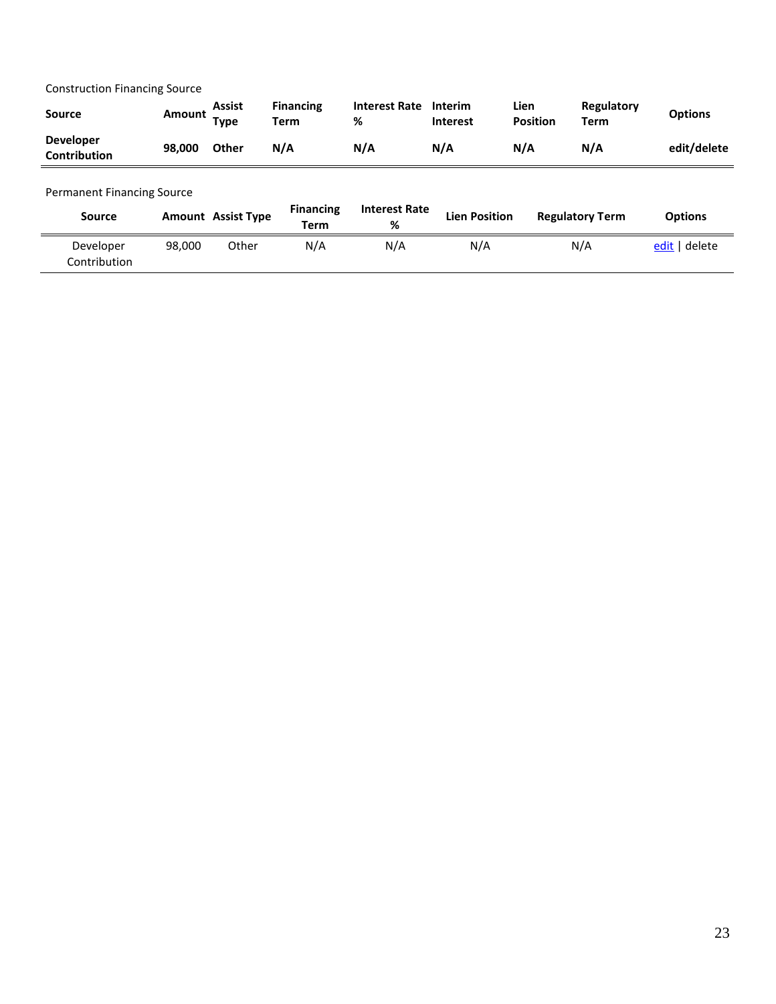Construction Financing Source

| <b>Source</b>                           | Amount Type | Assist       | <b>Financing</b><br><b>Term</b> | <b>Interest Rate</b><br>% | <b>Interim</b><br><b>Interest</b> | Lien<br><b>Position</b> | Regulatory<br>Term | <b>Options</b> |
|-----------------------------------------|-------------|--------------|---------------------------------|---------------------------|-----------------------------------|-------------------------|--------------------|----------------|
| <b>Developer</b><br><b>Contribution</b> | 98.000      | <b>Other</b> | N/A                             | N/A                       | N/A                               | N/A                     | N/A                | edit/delete    |

#### Permanent Financing Source

| <b>Source</b>             |        | <b>Amount</b> Assist Type | <b>Financing</b><br>Term | <b>Interest Rate</b><br>% | <b>Lien Position</b> | <b>Regulatory Term</b> | <b>Options</b> |
|---------------------------|--------|---------------------------|--------------------------|---------------------------|----------------------|------------------------|----------------|
| Developer<br>Contribution | 98.000 | Other                     | N/A                      | N/A                       | N/A                  | N/A                    | edit   delete  |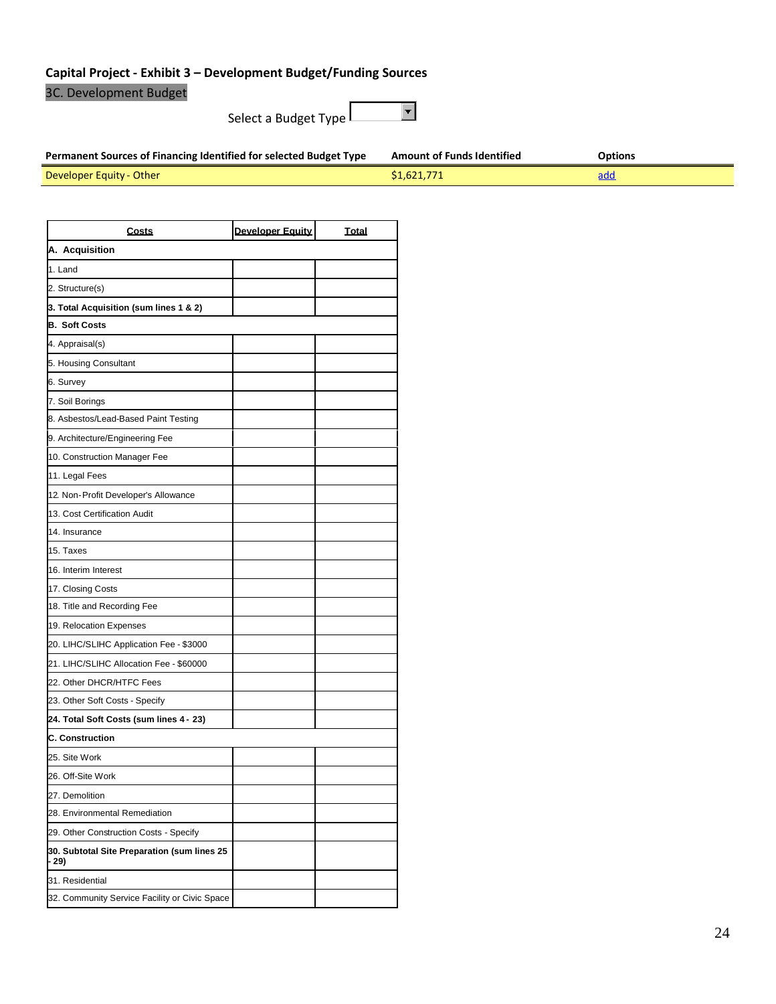# **Capital Project - Exhibit 3 – Development Budget/Funding Sources**

3C. Development Budget

 $\Box$ Select a Budget Type

| Permanent Sources of Financing Identified for selected Budget Type | <b>Amount of Funds Identified</b> | <b>Options</b> |
|--------------------------------------------------------------------|-----------------------------------|----------------|
| Developer Equity - Other                                           | \$1,621,771                       | <u>add</u>     |

| <b>Costs</b>                                         | <b>Developer Equity</b> | <b>Total</b> |
|------------------------------------------------------|-------------------------|--------------|
| A. Acquisition                                       |                         |              |
| 1. Land                                              |                         |              |
| 2. Structure(s)                                      |                         |              |
| 3. Total Acquisition (sum lines 1 & 2)               |                         |              |
| <b>B. Soft Costs</b>                                 |                         |              |
| 4. Appraisal(s)                                      |                         |              |
| 5. Housing Consultant                                |                         |              |
| 6. Survey                                            |                         |              |
| 7. Soil Borings                                      |                         |              |
| 8. Asbestos/Lead-Based Paint Testing                 |                         |              |
| 9. Architecture/Engineering Fee                      |                         |              |
| 10. Construction Manager Fee                         |                         |              |
| 11. Legal Fees                                       |                         |              |
| 12. Non-Profit Developer's Allowance                 |                         |              |
| 13. Cost Certification Audit                         |                         |              |
| 14. Insurance                                        |                         |              |
| 15. Taxes                                            |                         |              |
| 16. Interim Interest                                 |                         |              |
| 17. Closing Costs                                    |                         |              |
| 18. Title and Recording Fee                          |                         |              |
| 19. Relocation Expenses                              |                         |              |
| 20. LIHC/SLIHC Application Fee - \$3000              |                         |              |
| 21. LIHC/SLIHC Allocation Fee - \$60000              |                         |              |
| 22. Other DHCR/HTFC Fees                             |                         |              |
| 23. Other Soft Costs - Specify                       |                         |              |
| 24. Total Soft Costs (sum lines 4 - 23)              |                         |              |
| <b>C. Construction</b>                               |                         |              |
| 25. Site Work                                        |                         |              |
| 26. Off-Site Work                                    |                         |              |
| 27. Demolition                                       |                         |              |
| 28. Environmental Remediation                        |                         |              |
| 29. Other Construction Costs - Specify               |                         |              |
| 30. Subtotal Site Preparation (sum lines 25<br>- 29) |                         |              |
| 31. Residential                                      |                         |              |
| 32. Community Service Facility or Civic Space        |                         |              |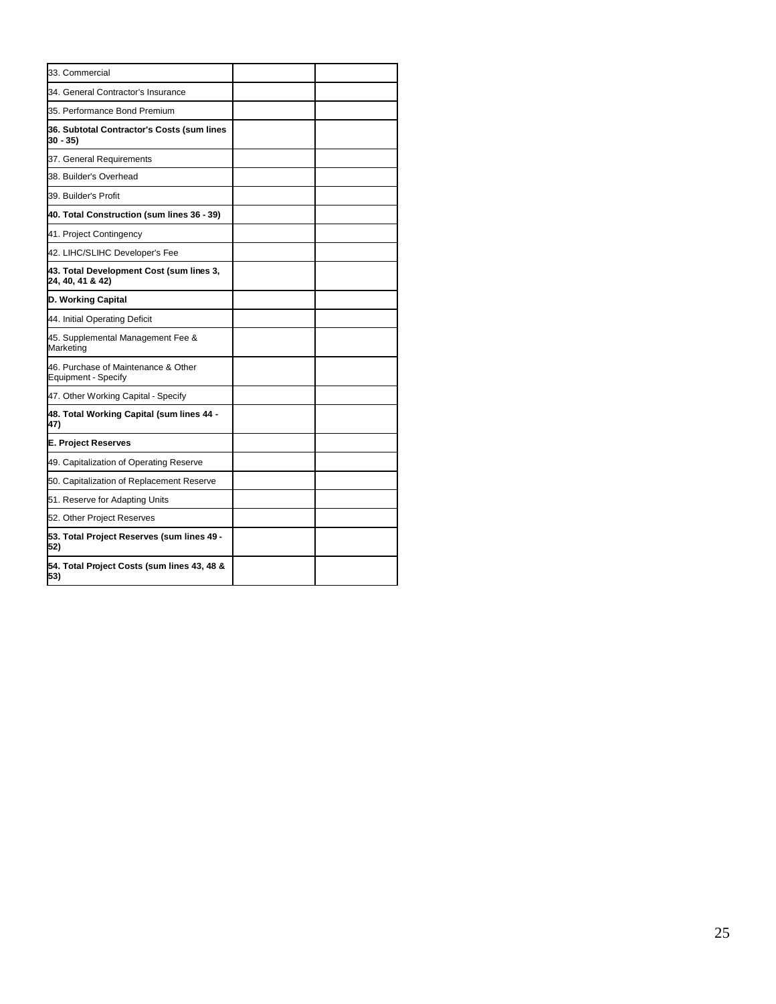| 33. Commercial                                               |  |
|--------------------------------------------------------------|--|
| 34. General Contractor's Insurance                           |  |
| 35. Performance Bond Premium                                 |  |
| 36. Subtotal Contractor's Costs (sum lines<br>30 - 35)       |  |
| 37. General Requirements                                     |  |
| 38. Builder's Overhead                                       |  |
| 39. Builder's Profit                                         |  |
| 40. Total Construction (sum lines 36 - 39)                   |  |
| 41. Project Contingency                                      |  |
| 42. LIHC/SLIHC Developer's Fee                               |  |
| 43. Total Development Cost (sum lines 3,<br>24, 40, 41 & 42) |  |
| D. Working Capital                                           |  |
| 44. Initial Operating Deficit                                |  |
| 45. Supplemental Management Fee &<br>Marketing               |  |
| 46. Purchase of Maintenance & Other<br>Equipment - Specify   |  |
| 47. Other Working Capital - Specify                          |  |
| 48. Total Working Capital (sum lines 44 -<br>47)             |  |
| E. Project Reserves                                          |  |
| 49. Capitalization of Operating Reserve                      |  |
| 50. Capitalization of Replacement Reserve                    |  |
| 51. Reserve for Adapting Units                               |  |
| 52. Other Project Reserves                                   |  |
| 53. Total Project Reserves (sum lines 49 -<br>52)            |  |
| 54. Total Project Costs (sum lines 43, 48 &<br>53)           |  |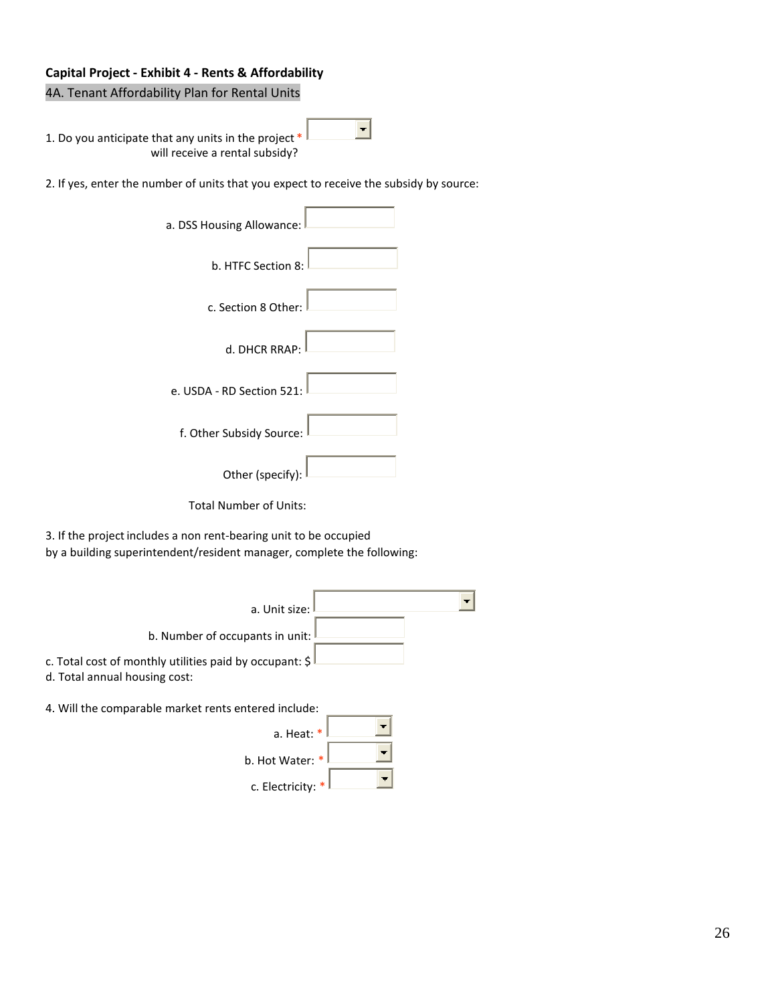## **Capital Project - Exhibit 4 - Rents & Affordability**

4A. Tenant Affordability Plan for Rental Units

1. Do you anticipate that any units in the project  $*$ will receive a rental subsidy?

2. If yes, enter the number of units that you expect to receive the subsidy by source:

 $\left| \cdot \right|$ 

| a. DSS Housing Allowance: |
|---------------------------|
| b. HTFC Section 8:        |
| c. Section 8 Other:       |
| d. DHCR RRAP:             |
| e. USDA - RD Section 521: |
| f. Other Subsidy Source:  |
| Other (specify):          |

Total Number of Units:

3. If the project includes a non rent-bearing unit to be occupied by a building superintendent/resident manager, complete the following:

| a. Unit size:                                                                                 |  |
|-----------------------------------------------------------------------------------------------|--|
| b. Number of occupants in unit:                                                               |  |
| c. Total cost of monthly utilities paid by occupant: $\zeta$<br>d. Total annual housing cost: |  |
| 4. Will the comparable market rents entered include:                                          |  |
| a. Heat: $*$                                                                                  |  |
| b. Hot Water: *                                                                               |  |
| c. Electricity:                                                                               |  |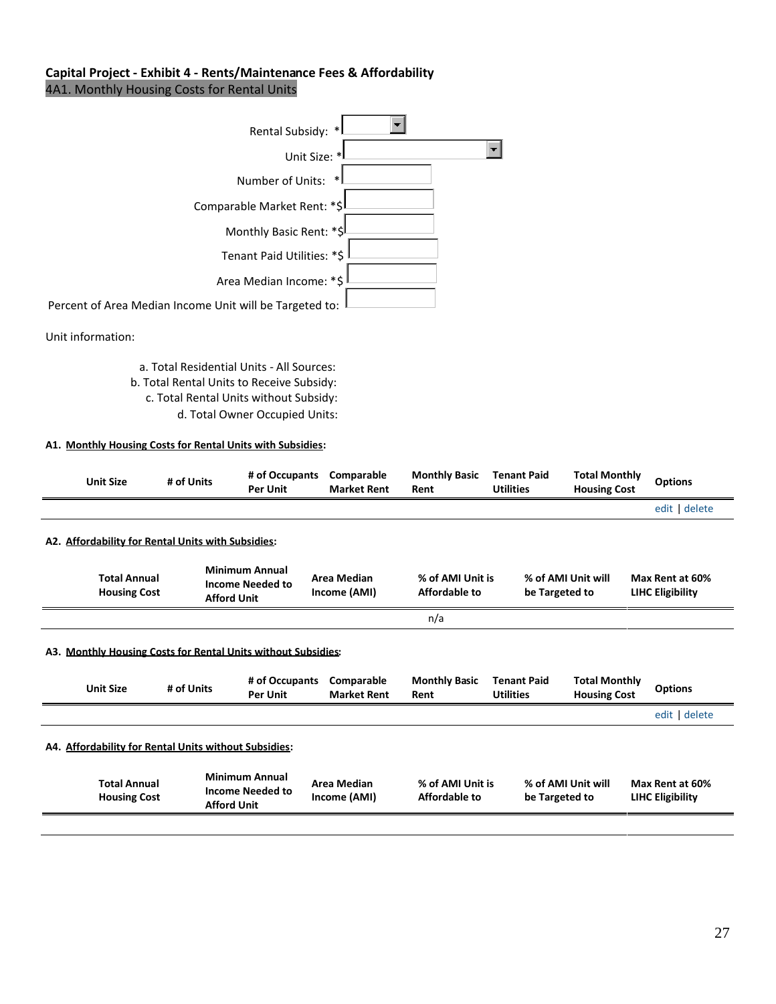## **Capital Project - Exhibit 4 - Rents/Maintenance Fees & Affordability** 4A1. Monthly Housing Costs for Rental Units

| Rental Subsidy: *                                       |  |
|---------------------------------------------------------|--|
| Unit Size: *                                            |  |
| Number of Units:<br>$\ast$                              |  |
| Comparable Market Rent: *\$                             |  |
| Monthly Basic Rent: *\$                                 |  |
| Tenant Paid Utilities: *\$                              |  |
| Area Median Income: *\$                                 |  |
| Percent of Area Median Income Unit will be Targeted to: |  |

Unit information:

a. Total Residential Units - All Sources: b. Total Rental Units to Receive Subsidy: c. Total Rental Units without Subsidy: d. Total Owner Occupied Units:

#### **A1. Monthly Housing Costs for Rental Units with Subsidies:**

| <b>Unit Size</b> |                                            | # of Units                                               | # of Occupants<br>Per Unit                                       | Comparable<br><b>Market Rent</b> | <b>Monthly Basic</b><br>Rent      | <b>Tenant Paid</b><br><b>Utilities</b> | <b>Total Monthly</b><br><b>Housing Cost</b> | <b>Options</b>                             |
|------------------|--------------------------------------------|----------------------------------------------------------|------------------------------------------------------------------|----------------------------------|-----------------------------------|----------------------------------------|---------------------------------------------|--------------------------------------------|
|                  |                                            |                                                          |                                                                  |                                  |                                   |                                        |                                             | edit delete                                |
|                  |                                            | A2. Affordability for Rental Units with Subsidies:       |                                                                  |                                  |                                   |                                        |                                             |                                            |
|                  | <b>Total Annual</b><br><b>Housing Cost</b> | <b>Afford Unit</b>                                       | <b>Minimum Annual</b><br><b>Income Needed to</b>                 | Area Median<br>Income (AMI)      | % of AMI Unit is<br>Affordable to | be Targeted to                         | % of AMI Unit will                          | Max Rent at 60%<br><b>LIHC Eligibility</b> |
|                  |                                            |                                                          |                                                                  |                                  | n/a                               |                                        |                                             |                                            |
| ΑЗ.              |                                            |                                                          | <b>Monthly Housing Costs for Rental Units without Subsidies:</b> |                                  |                                   |                                        |                                             |                                            |
| <b>Unit Size</b> |                                            | # of Units                                               | # of Occupants<br>Per Unit                                       | Comparable<br><b>Market Rent</b> | <b>Monthly Basic</b><br>Rent      | <b>Tenant Paid</b><br><b>Utilities</b> | <b>Total Monthly</b><br><b>Housing Cost</b> | <b>Options</b>                             |
|                  |                                            |                                                          |                                                                  |                                  |                                   |                                        |                                             | edit delete                                |
| A4.              |                                            | <b>Affordability for Rental Units without Subsidies:</b> |                                                                  |                                  |                                   |                                        |                                             |                                            |
|                  | <b>Total Annual</b><br><b>Housing Cost</b> | <b>Afford Unit</b>                                       | <b>Minimum Annual</b><br><b>Income Needed to</b>                 | Area Median<br>Income (AMI)      | % of AMI Unit is<br>Affordable to | be Targeted to                         | % of AMI Unit will                          | Max Rent at 60%<br><b>LIHC Eligibility</b> |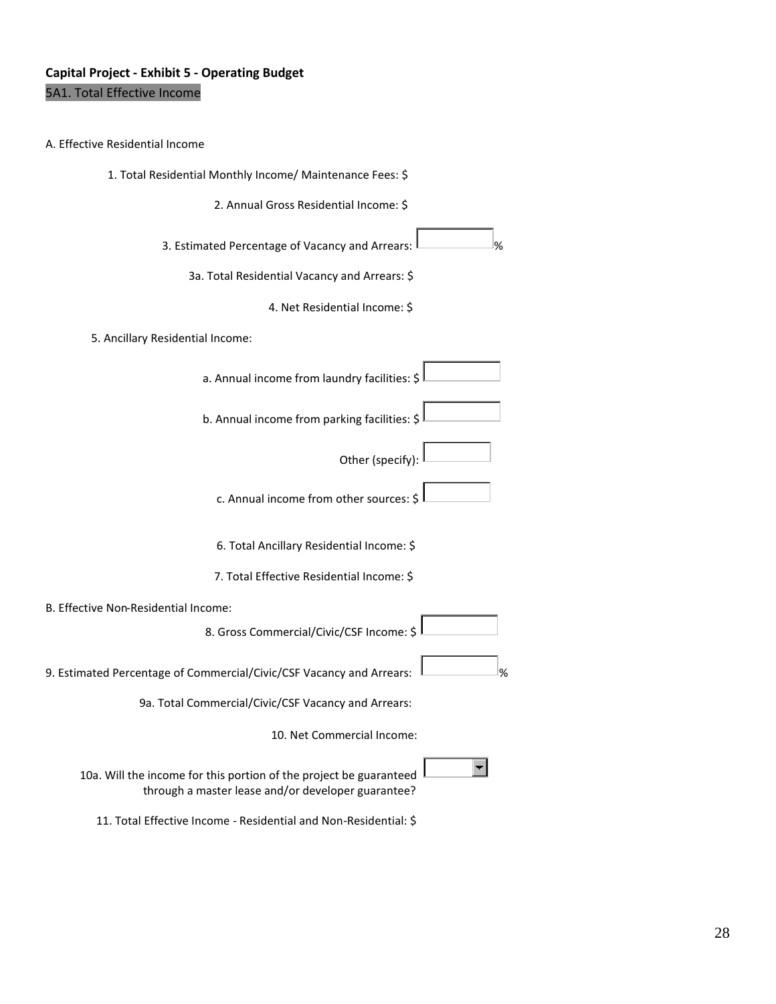## **Capital Project - Exhibit 5 - Operating Budget** 5A1. Total Effective Income

#### A. Effective Residential Income

1. Total Residential Monthly Income/ Maintenance Fees: \$

2. Annual Gross Residential Income: \$

3. Estimated Percentage of Vacancy and Arrears:

3a. Total Residential Vacancy and Arrears: \$

4. Net Residential Income: \$

#### 5. Ancillary Residential Income:

a. Annual income from laundry facilities: \$

b. Annual income from parking facilities: \$

Other (specify):

c. Annual income from other sources: \$

6. Total Ancillary Residential Income: \$

7. Total Effective Residential Income: \$

B. Effective Non-Residential Income:

8. Gross Commercial/Civic/CSF Income: \$

9. Estimated Percentage of Commercial/Civic/CSF Vacancy and Arrears:  $\Box$ 

9a. Total Commercial/Civic/CSF Vacancy and Arrears:

10. Net Commercial Income:

 $\blacksquare$ 

10a. Will the income for this portion of the project be guaranteed through a master lease and/or developer guarantee?

11. Total Effective Income - Residential and Non-Residential: \$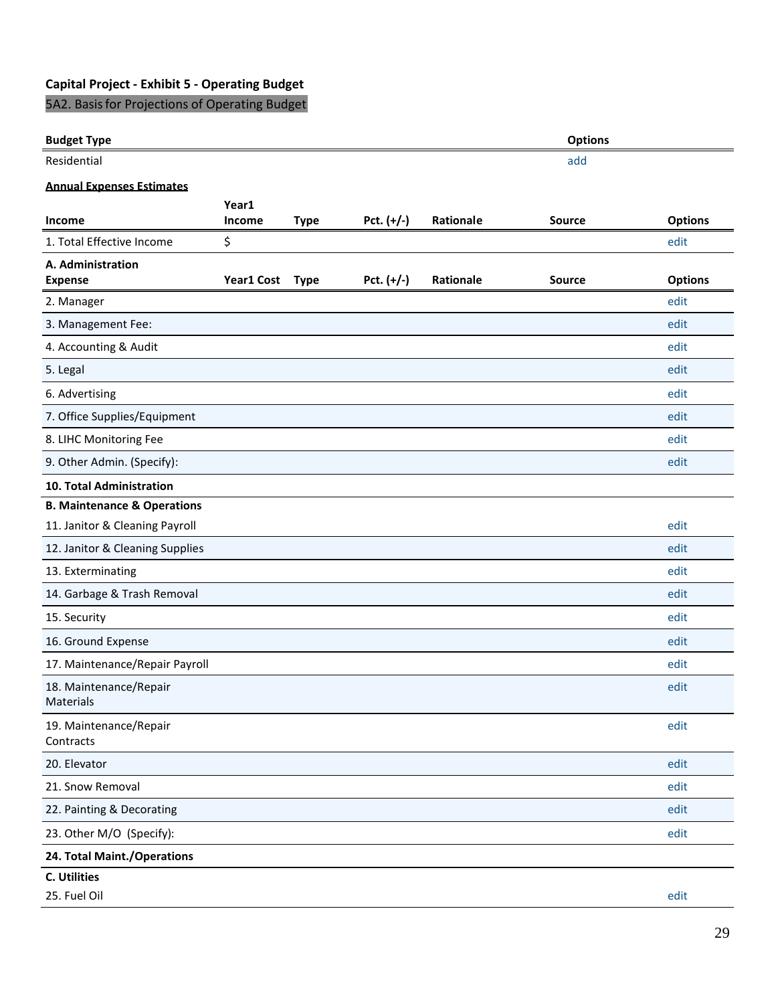# **Capital Project - Exhibit 5 - Operating Budget**

5A2. Basisfor Projections of Operating Budget

## **Budget Type Options**

Residential and additional and additional additional and additional additional additional additional additional

## **Annual Expenses Estimates**

| <b>Income</b>                          | Year1<br><b>Income</b> | <b>Type</b> | Pct. $(+/-)$ | Rationale | <b>Source</b> | <b>Options</b> |
|----------------------------------------|------------------------|-------------|--------------|-----------|---------------|----------------|
| 1. Total Effective Income              | \$                     |             |              |           |               | edit           |
| A. Administration<br><b>Expense</b>    | <b>Year1 Cost</b>      | <b>Type</b> | Pct. $(+/-)$ | Rationale | <b>Source</b> | <b>Options</b> |
| 2. Manager                             |                        |             |              |           |               | edit           |
| 3. Management Fee:                     |                        |             |              |           |               | edit           |
| 4. Accounting & Audit                  |                        |             |              |           |               | edit           |
| 5. Legal                               |                        |             |              |           |               | edit           |
| 6. Advertising                         |                        |             |              |           |               | edit           |
| 7. Office Supplies/Equipment           |                        |             |              |           |               | edit           |
| 8. LIHC Monitoring Fee                 |                        |             |              |           |               | edit           |
| 9. Other Admin. (Specify):             |                        |             |              |           |               | edit           |
| 10. Total Administration               |                        |             |              |           |               |                |
| <b>B. Maintenance &amp; Operations</b> |                        |             |              |           |               |                |
| 11. Janitor & Cleaning Payroll         |                        |             |              |           |               | edit           |
| 12. Janitor & Cleaning Supplies        |                        |             |              |           |               | edit           |
| 13. Exterminating                      |                        |             |              |           |               | edit           |
| 14. Garbage & Trash Removal            |                        |             |              |           |               | edit           |
| 15. Security                           |                        |             |              |           |               | edit           |
| 16. Ground Expense                     |                        |             |              |           |               | edit           |
| 17. Maintenance/Repair Payroll         |                        |             |              |           |               | edit           |
| 18. Maintenance/Repair<br>Materials    |                        |             |              |           |               | edit           |
| 19. Maintenance/Repair<br>Contracts    |                        |             |              |           |               | edit           |
| 20. Elevator                           |                        |             |              |           |               | edit           |
| 21. Snow Removal                       |                        |             |              |           |               | edit           |
| 22. Painting & Decorating              |                        |             |              |           |               | edit           |
| 23. Other M/O (Specify):               |                        |             |              |           |               | edit           |
| 24. Total Maint./Operations            |                        |             |              |           |               |                |
| C. Utilities                           |                        |             |              |           |               |                |
| 25. Fuel Oil                           |                        |             |              |           |               | edit           |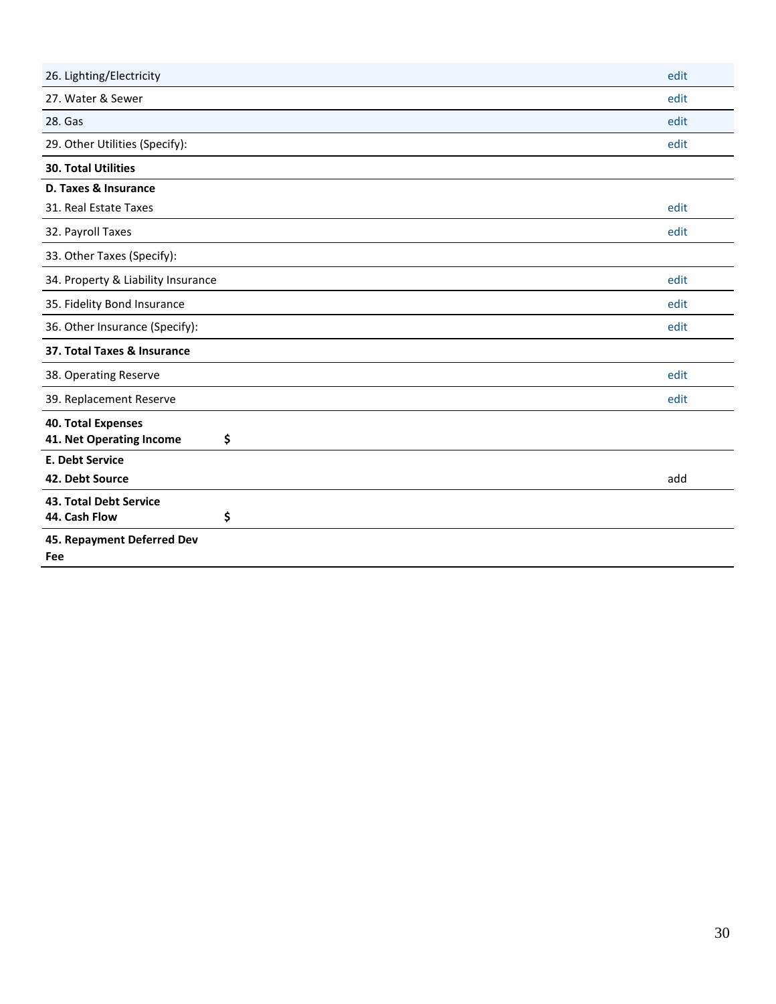| 26. Lighting/Electricity                                    | edit |
|-------------------------------------------------------------|------|
| 27. Water & Sewer                                           | edit |
| 28. Gas                                                     | edit |
| 29. Other Utilities (Specify):                              | edit |
| <b>30. Total Utilities</b>                                  |      |
| D. Taxes & Insurance                                        |      |
| 31. Real Estate Taxes                                       | edit |
| 32. Payroll Taxes                                           | edit |
| 33. Other Taxes (Specify):                                  |      |
| 34. Property & Liability Insurance                          | edit |
| 35. Fidelity Bond Insurance                                 | edit |
| 36. Other Insurance (Specify):                              | edit |
| 37. Total Taxes & Insurance                                 |      |
| 38. Operating Reserve                                       | edit |
| 39. Replacement Reserve                                     | edit |
| <b>40. Total Expenses</b><br>41. Net Operating Income<br>\$ |      |
| <b>E. Debt Service</b>                                      |      |
| 42. Debt Source                                             | add  |
| 43. Total Debt Service                                      |      |
| \$<br>44. Cash Flow                                         |      |
| 45. Repayment Deferred Dev<br>Fee                           |      |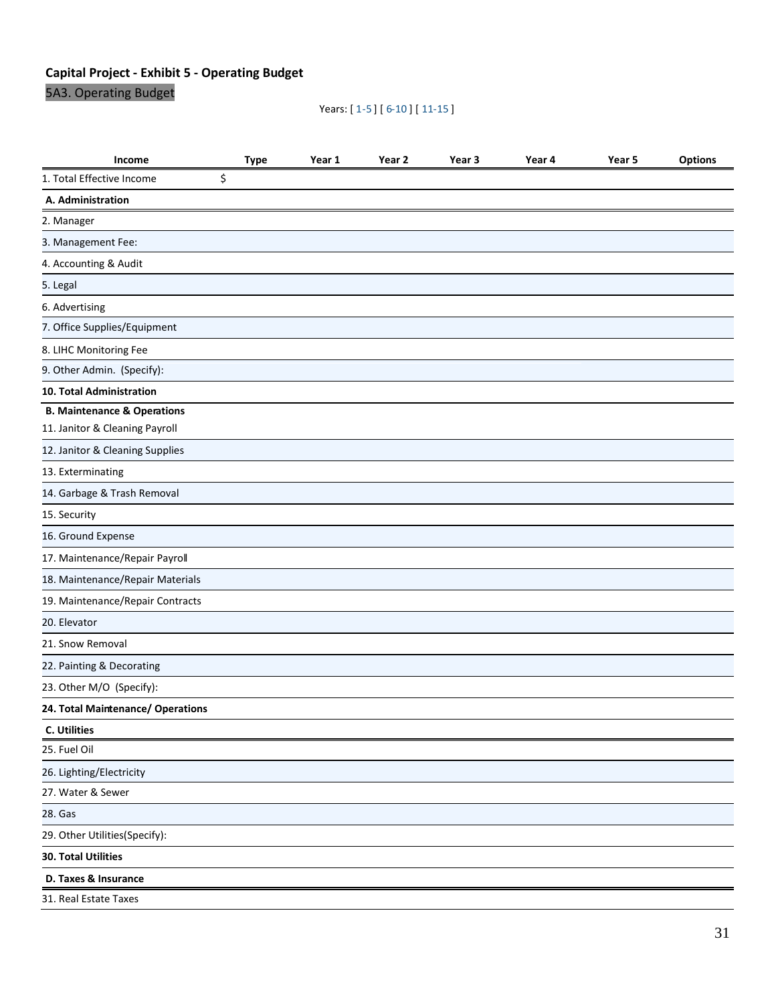# **Capital Project - Exhibit 5 - Operating Budget**

5A3. Operating Budget

## Years: [ 1-5 ] [ 6-10 ] [ 11-15 ]

| Income                                 | <b>Type</b> | Year 1 | Year 2 | Year 3 | Year 4 | Year 5 | <b>Options</b> |
|----------------------------------------|-------------|--------|--------|--------|--------|--------|----------------|
| 1. Total Effective Income              | \$          |        |        |        |        |        |                |
| A. Administration                      |             |        |        |        |        |        |                |
| 2. Manager                             |             |        |        |        |        |        |                |
| 3. Management Fee:                     |             |        |        |        |        |        |                |
| 4. Accounting & Audit                  |             |        |        |        |        |        |                |
| 5. Legal                               |             |        |        |        |        |        |                |
| 6. Advertising                         |             |        |        |        |        |        |                |
| 7. Office Supplies/Equipment           |             |        |        |        |        |        |                |
| 8. LIHC Monitoring Fee                 |             |        |        |        |        |        |                |
| 9. Other Admin. (Specify):             |             |        |        |        |        |        |                |
| 10. Total Administration               |             |        |        |        |        |        |                |
| <b>B. Maintenance &amp; Operations</b> |             |        |        |        |        |        |                |
| 11. Janitor & Cleaning Payroll         |             |        |        |        |        |        |                |
| 12. Janitor & Cleaning Supplies        |             |        |        |        |        |        |                |
| 13. Exterminating                      |             |        |        |        |        |        |                |
| 14. Garbage & Trash Removal            |             |        |        |        |        |        |                |
| 15. Security                           |             |        |        |        |        |        |                |
| 16. Ground Expense                     |             |        |        |        |        |        |                |
| 17. Maintenance/Repair Payroll         |             |        |        |        |        |        |                |
| 18. Maintenance/Repair Materials       |             |        |        |        |        |        |                |
| 19. Maintenance/Repair Contracts       |             |        |        |        |        |        |                |
| 20. Elevator                           |             |        |        |        |        |        |                |
| 21. Snow Removal                       |             |        |        |        |        |        |                |
| 22. Painting & Decorating              |             |        |        |        |        |        |                |
| 23. Other M/O (Specify):               |             |        |        |        |        |        |                |
| 24. Total Maintenance/ Operations      |             |        |        |        |        |        |                |
| C. Utilities                           |             |        |        |        |        |        |                |
| 25. Fuel Oil                           |             |        |        |        |        |        |                |
| 26. Lighting/Electricity               |             |        |        |        |        |        |                |
| 27. Water & Sewer                      |             |        |        |        |        |        |                |
| 28. Gas                                |             |        |        |        |        |        |                |
| 29. Other Utilities(Specify):          |             |        |        |        |        |        |                |
| <b>30. Total Utilities</b>             |             |        |        |        |        |        |                |
| D. Taxes & Insurance                   |             |        |        |        |        |        |                |
| 31. Real Estate Taxes                  |             |        |        |        |        |        |                |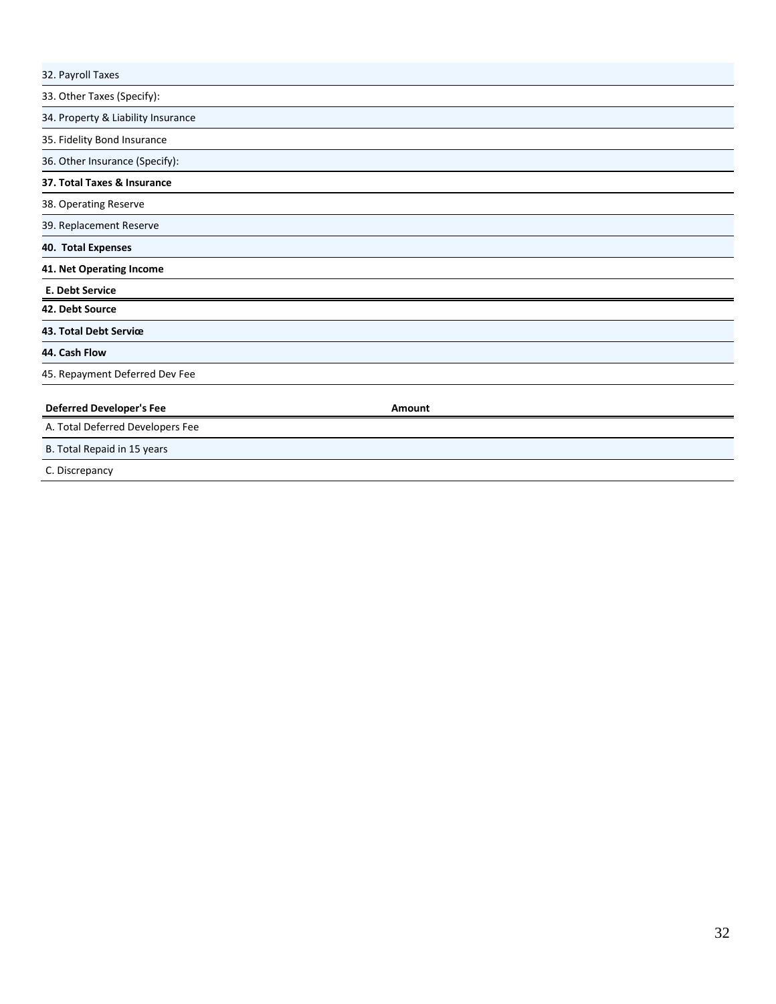| 32. Payroll Taxes                  |        |  |
|------------------------------------|--------|--|
| 33. Other Taxes (Specify):         |        |  |
| 34. Property & Liability Insurance |        |  |
| 35. Fidelity Bond Insurance        |        |  |
| 36. Other Insurance (Specify):     |        |  |
| 37. Total Taxes & Insurance        |        |  |
| 38. Operating Reserve              |        |  |
| 39. Replacement Reserve            |        |  |
| 40. Total Expenses                 |        |  |
| 41. Net Operating Income           |        |  |
| E. Debt Service                    |        |  |
| 42. Debt Source                    |        |  |
| 43. Total Debt Service             |        |  |
| 44. Cash Flow                      |        |  |
| 45. Repayment Deferred Dev Fee     |        |  |
| <b>Deferred Developer's Fee</b>    | Amount |  |
| A. Total Deferred Developers Fee   |        |  |
| B. Total Repaid in 15 years        |        |  |
| C. Discrepancy                     |        |  |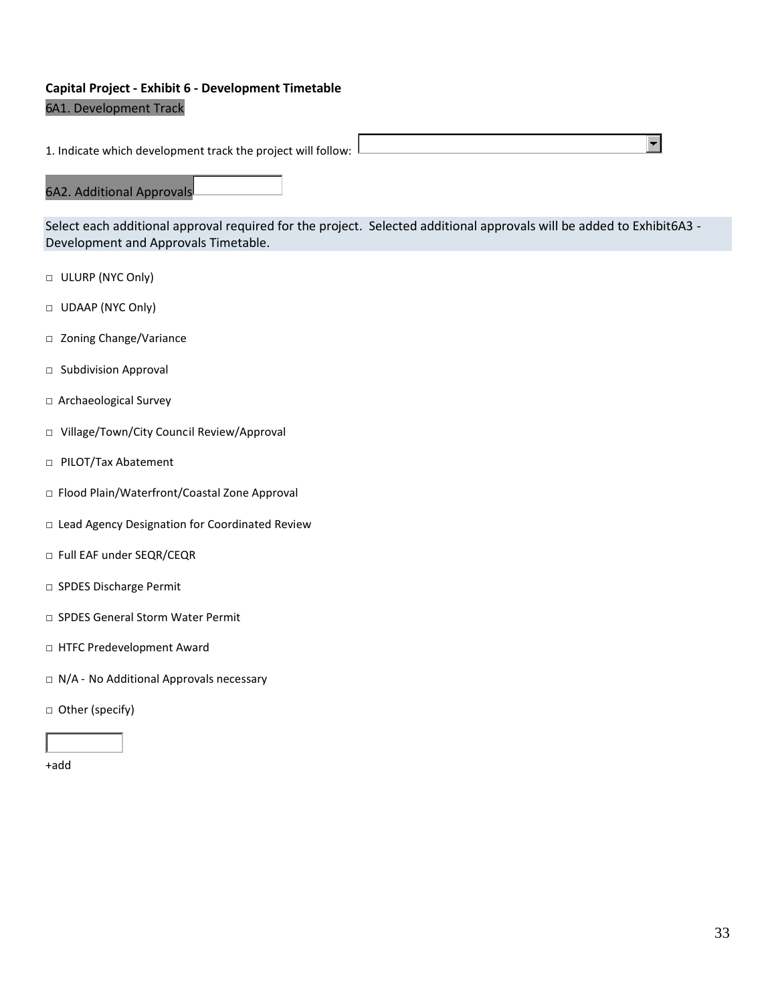# **Capital Project - Exhibit 6 - Development Timetable**

## 6A1. Development Track

1. Indicate which development track the project will follow:

## 6A2. Additional Approvals

Select each additional approval required for the project. Selected additional approvals will be added to Exhibit6A3 - Development and Approvals Timetable.

- □ ULURP (NYC Only)
- □ UDAAP (NYC Only)
- □ Zoning Change/Variance
- □ Subdivision Approval
- □Archaeological Survey
- □ Village/Town/City Council Review/Approval
- □ PILOT/Tax Abatement
- □ Flood Plain/Waterfront/Coastal Zone Approval
- □ Lead Agency Designation for Coordinated Review
- □ Full EAF under SEQR/CEQR
- □ SPDES Discharge Permit
- □ SPDES General Storm Water Permit
- □ HTFC Predevelopment Award
- □ N/A No Additional Approvals necessary
- □Other (specify)

+add

 $\blacksquare$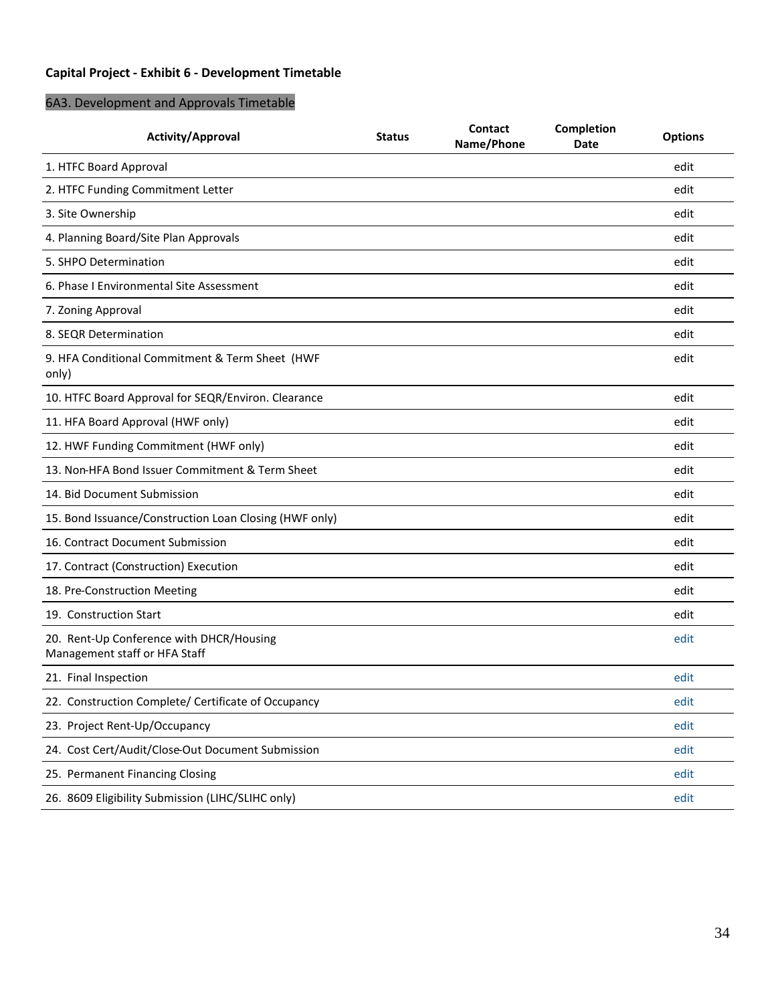# **Capital Project - Exhibit 6 - Development Timetable**

# 6A3. Development and Approvals Timetable

| Activity/Approval                                                         | <b>Status</b> | Contact<br>Name/Phone | <b>Completion</b><br>Date | <b>Options</b> |
|---------------------------------------------------------------------------|---------------|-----------------------|---------------------------|----------------|
| 1. HTFC Board Approval                                                    |               |                       |                           | edit           |
| 2. HTFC Funding Commitment Letter                                         |               |                       |                           | edit           |
| 3. Site Ownership                                                         |               |                       |                           | edit           |
| 4. Planning Board/Site Plan Approvals                                     |               |                       |                           | edit           |
| 5. SHPO Determination                                                     |               |                       |                           | edit           |
| 6. Phase I Environmental Site Assessment                                  |               |                       |                           | edit           |
| 7. Zoning Approval                                                        |               |                       |                           | edit           |
| 8. SEQR Determination                                                     |               |                       |                           | edit           |
| 9. HFA Conditional Commitment & Term Sheet (HWF<br>only)                  |               |                       |                           | edit           |
| 10. HTFC Board Approval for SEQR/Environ. Clearance                       |               |                       |                           | edit           |
| 11. HFA Board Approval (HWF only)                                         |               |                       |                           | edit           |
| 12. HWF Funding Commitment (HWF only)                                     |               |                       |                           | edit           |
| 13. Non-HFA Bond Issuer Commitment & Term Sheet                           |               |                       |                           | edit           |
| 14. Bid Document Submission                                               |               |                       |                           | edit           |
| 15. Bond Issuance/Construction Loan Closing (HWF only)                    |               |                       |                           | edit           |
| 16. Contract Document Submission                                          |               |                       |                           | edit           |
| 17. Contract (Construction) Execution                                     |               |                       |                           | edit           |
| 18. Pre-Construction Meeting                                              |               |                       |                           | edit           |
| 19. Construction Start                                                    |               |                       |                           | edit           |
| 20. Rent-Up Conference with DHCR/Housing<br>Management staff or HFA Staff |               |                       |                           | edit           |
| 21. Final Inspection                                                      |               |                       |                           | edit           |
| 22. Construction Complete/ Certificate of Occupancy                       |               |                       |                           | edit           |
| 23. Project Rent-Up/Occupancy                                             |               |                       |                           | edit           |
| 24. Cost Cert/Audit/Close-Out Document Submission                         |               |                       |                           | edit           |
| 25. Permanent Financing Closing                                           |               |                       |                           | edit           |
| 26. 8609 Eligibility Submission (LIHC/SLIHC only)                         |               |                       |                           | edit           |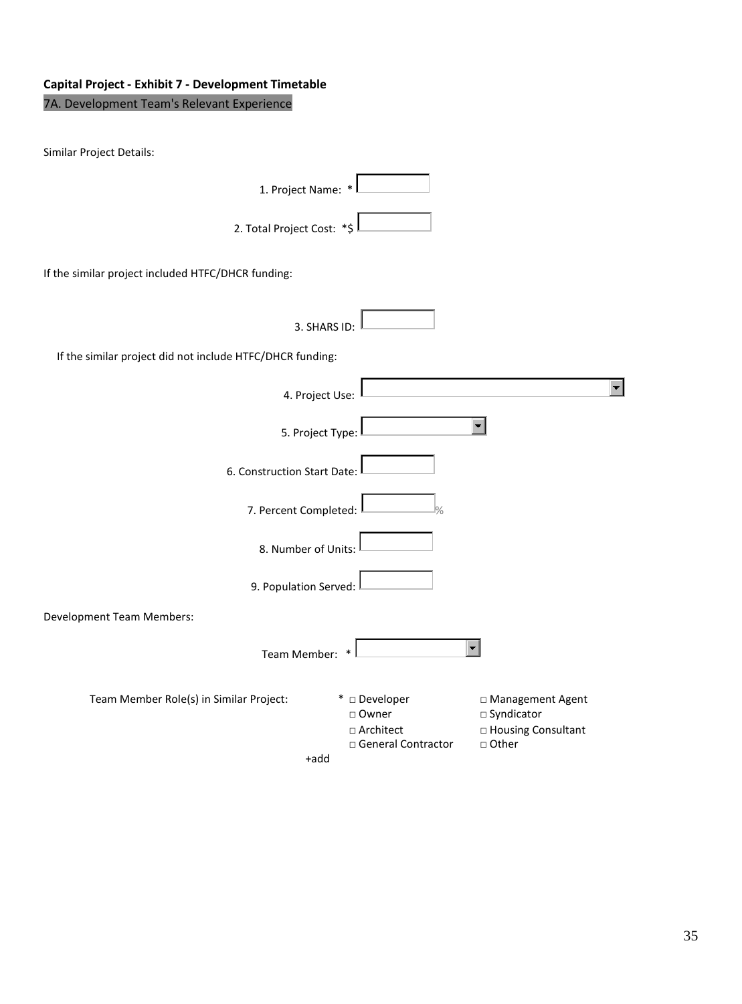# **Capital Project - Exhibit 7 - Development Timetable**

# 7A. Development Team's Relevant Experience

| Similar Project Details:                                  |                                                                         |                                                                               |  |
|-----------------------------------------------------------|-------------------------------------------------------------------------|-------------------------------------------------------------------------------|--|
| 1. Project Name: *                                        |                                                                         |                                                                               |  |
| 2. Total Project Cost: *\$                                |                                                                         |                                                                               |  |
| If the similar project included HTFC/DHCR funding:        |                                                                         |                                                                               |  |
| 3. SHARS ID:                                              |                                                                         |                                                                               |  |
| If the similar project did not include HTFC/DHCR funding: |                                                                         |                                                                               |  |
| 4. Project Use:                                           |                                                                         |                                                                               |  |
| 5. Project Type:                                          |                                                                         |                                                                               |  |
| 6. Construction Start Date:                               |                                                                         |                                                                               |  |
| 7. Percent Completed:                                     | $\frac{1}{2}$                                                           |                                                                               |  |
| 8. Number of Units:                                       |                                                                         |                                                                               |  |
| 9. Population Served: I                                   |                                                                         |                                                                               |  |
| <b>Development Team Members:</b>                          |                                                                         |                                                                               |  |
| Team Member:                                              |                                                                         |                                                                               |  |
| Team Member Role(s) in Similar Project:<br>+add           | * □ Developer<br>□ Owner<br>$\square$ Architect<br>□ General Contractor | □ Management Agent<br>□ Syndicator<br>$\square$ Housing Consultant<br>□ Other |  |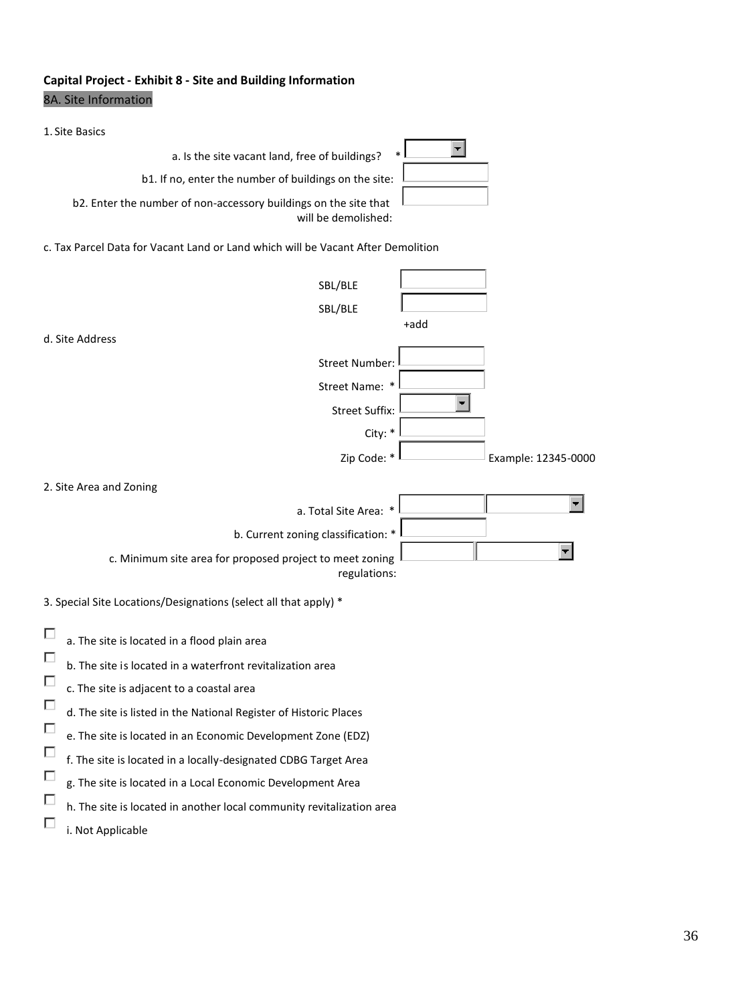# **Capital Project - Exhibit 8 - Site and Building Information** 8A. Site Information

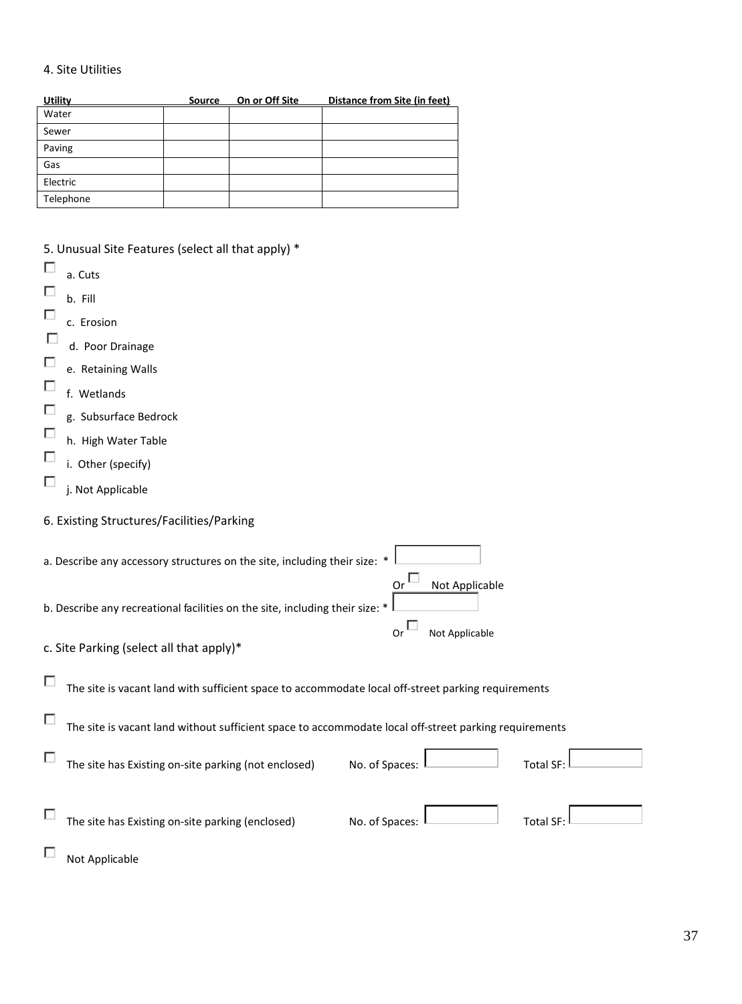## 4. Site Utilities

| <u>Utility</u> | <b>Source</b> | On or Off Site | Distance from Site (in feet) |
|----------------|---------------|----------------|------------------------------|
| Water          |               |                |                              |
| Sewer          |               |                |                              |
| Paving         |               |                |                              |
| Gas            |               |                |                              |
| Electric       |               |                |                              |
| Telephone      |               |                |                              |

| 5. Unusual Site Features (select all that apply) *                                                         |
|------------------------------------------------------------------------------------------------------------|
| a. Cuts                                                                                                    |
| Г<br>b. Fill                                                                                               |
| □<br>c. Erosion                                                                                            |
| L<br>d. Poor Drainage                                                                                      |
| П<br>e. Retaining Walls                                                                                    |
| Г<br>f. Wetlands                                                                                           |
| П<br>g. Subsurface Bedrock                                                                                 |
| П<br>h. High Water Table                                                                                   |
| П<br>i. Other (specify)                                                                                    |
| П<br>j. Not Applicable                                                                                     |
|                                                                                                            |
| 6. Existing Structures/Facilities/Parking                                                                  |
| a. Describe any accessory structures on the site, including their size:                                    |
| Not Applicable<br>Or                                                                                       |
| b. Describe any recreational facilities on the site, including their size:                                 |
| or <sup>L</sup><br>Not Applicable                                                                          |
| c. Site Parking (select all that apply)*                                                                   |
| □<br>The site is vacant land with sufficient space to accommodate local off-street parking requirements    |
| г<br>The site is vacant land without sufficient space to accommodate local off-street parking requirements |
|                                                                                                            |
| Е<br>No. of Spaces:<br>The site has Existing on-site parking (not enclosed)<br><b>Total SF:</b>            |
|                                                                                                            |
| The site has Existing on-site parking (enclosed)<br>No. of Spaces:<br><b>Total SF:</b>                     |
|                                                                                                            |
| Not Applicable                                                                                             |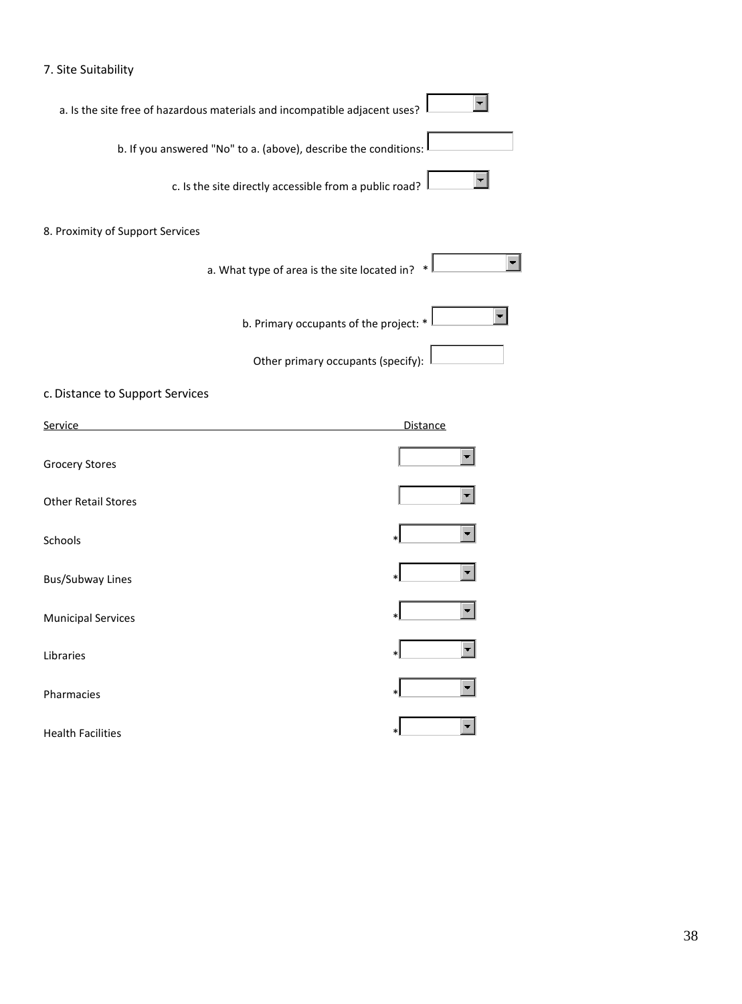# 7. Site Suitability

| a. Is the site free of hazardous materials and incompatible adjacent uses? |                 |
|----------------------------------------------------------------------------|-----------------|
| b. If you answered "No" to a. (above), describe the conditions:            |                 |
| c. Is the site directly accessible from a public road?                     |                 |
| 8. Proximity of Support Services                                           |                 |
| a. What type of area is the site located in?                               |                 |
| b. Primary occupants of the project: *                                     |                 |
| Other primary occupants (specify):                                         |                 |
| c. Distance to Support Services                                            |                 |
| Service                                                                    | <b>Distance</b> |
| <b>Grocery Stores</b>                                                      |                 |
| <b>Other Retail Stores</b>                                                 |                 |
| Schools                                                                    |                 |
| <b>Bus/Subway Lines</b>                                                    |                 |
| <b>Municipal Services</b>                                                  |                 |
| Libraries                                                                  |                 |
| Pharmacies                                                                 |                 |
| <b>Health Facilities</b>                                                   |                 |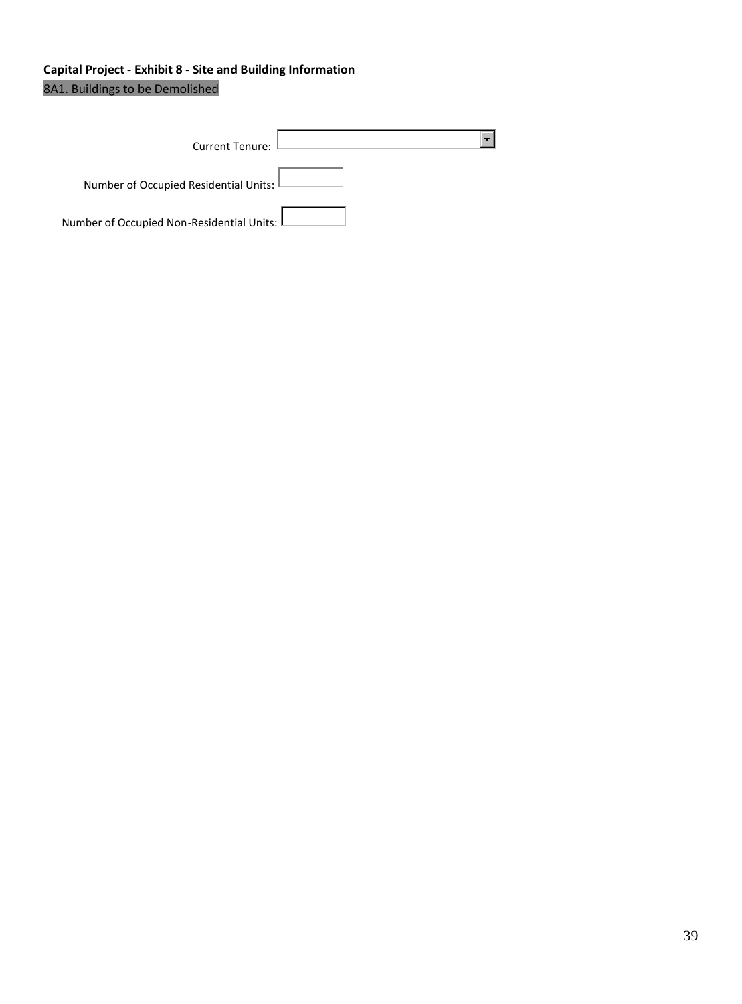# **Capital Project - Exhibit 8 - Site and Building Information** 8A1. Buildings to be Demolished

| Current Tenure:                                       |  |
|-------------------------------------------------------|--|
| Number of Occupied Residential Units: L               |  |
| Number of Occupied Non-Residential Units: $\mathsf L$ |  |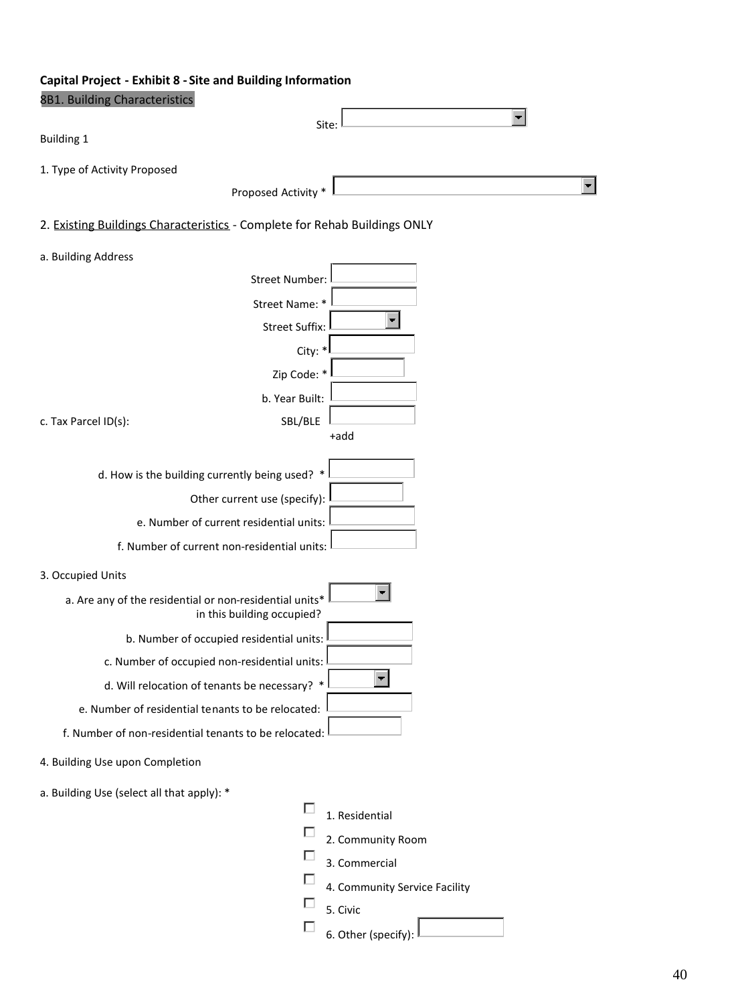# **Capital Project - Exhibit 8 - Site and Building Information**

| 8B1. Building Characteristics                                             |                                                         |                               |
|---------------------------------------------------------------------------|---------------------------------------------------------|-------------------------------|
|                                                                           | Site:                                                   |                               |
| <b>Building 1</b>                                                         |                                                         |                               |
| 1. Type of Activity Proposed                                              |                                                         |                               |
|                                                                           | Proposed Activity *                                     |                               |
| 2. Existing Buildings Characteristics - Complete for Rehab Buildings ONLY |                                                         |                               |
| a. Building Address                                                       |                                                         |                               |
|                                                                           | <b>Street Number:</b>                                   |                               |
|                                                                           | Street Name: *                                          |                               |
|                                                                           | <b>Street Suffix:</b>                                   |                               |
|                                                                           | City: *                                                 |                               |
|                                                                           | Zip Code: *                                             |                               |
|                                                                           | b. Year Built:                                          |                               |
| c. Tax Parcel ID(s):                                                      | SBL/BLE                                                 |                               |
|                                                                           |                                                         | +add                          |
|                                                                           | d. How is the building currently being used? *          |                               |
|                                                                           | Other current use (specify):                            |                               |
|                                                                           | e. Number of current residential units:                 |                               |
|                                                                           | f. Number of current non-residential units:             |                               |
| 3. Occupied Units                                                         |                                                         |                               |
|                                                                           | a. Are any of the residential or non-residential units* |                               |
|                                                                           | in this building occupied?                              |                               |
|                                                                           | b. Number of occupied residential units:                |                               |
|                                                                           | c. Number of occupied non-residential units:            |                               |
|                                                                           | d. Will relocation of tenants be necessary? *           |                               |
|                                                                           | e. Number of residential tenants to be relocated:       |                               |
|                                                                           | f. Number of non-residential tenants to be relocated:   |                               |
| 4. Building Use upon Completion                                           |                                                         |                               |
| a. Building Use (select all that apply): *                                |                                                         |                               |
|                                                                           |                                                         | 1. Residential                |
|                                                                           |                                                         | 2. Community Room             |
|                                                                           |                                                         | 3. Commercial                 |
|                                                                           |                                                         | 4. Community Service Facility |
|                                                                           |                                                         | 5. Civic                      |

6. Other (specify):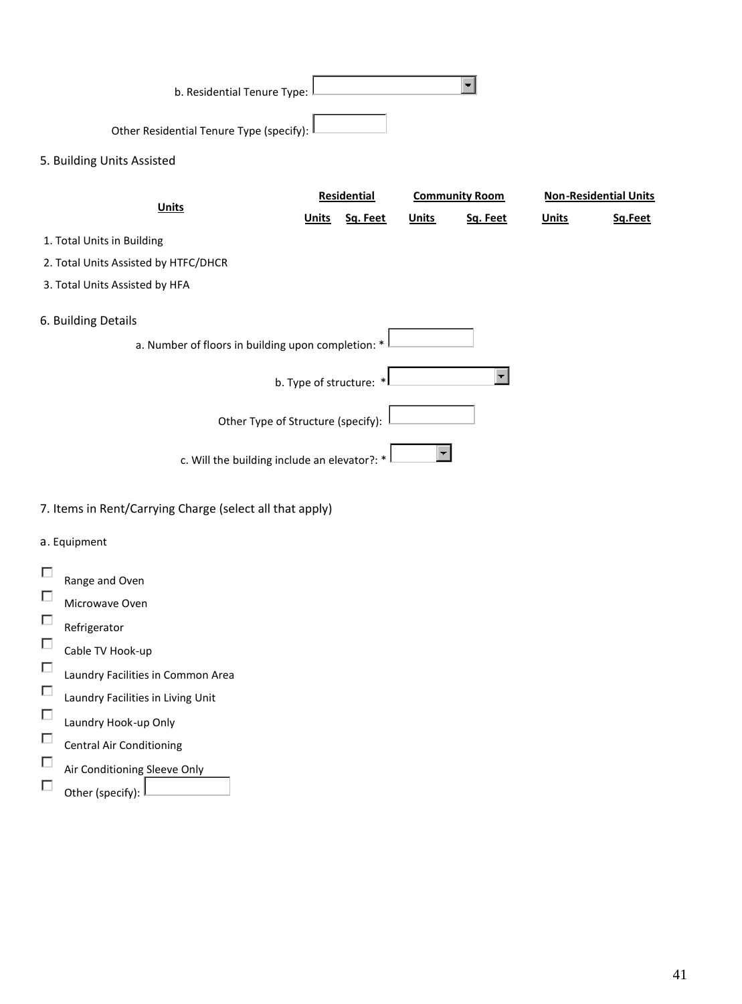| b. Residential Tenure Type:                        |              |                         |              |                       |              |                              |
|----------------------------------------------------|--------------|-------------------------|--------------|-----------------------|--------------|------------------------------|
| Other Residential Tenure Type (specify):           |              |                         |              |                       |              |                              |
| 5. Building Units Assisted                         |              |                         |              |                       |              |                              |
| <b>Units</b>                                       |              | <b>Residential</b>      |              | <b>Community Room</b> |              | <b>Non-Residential Units</b> |
|                                                    | <b>Units</b> | Sq. Feet                | <b>Units</b> | Sq. Feet              | <u>Units</u> | Sq.Feet                      |
| 1. Total Units in Building                         |              |                         |              |                       |              |                              |
| 2. Total Units Assisted by HTFC/DHCR               |              |                         |              |                       |              |                              |
| 3. Total Units Assisted by HFA                     |              |                         |              |                       |              |                              |
| 6. Building Details                                |              |                         |              |                       |              |                              |
| a. Number of floors in building upon completion: * |              |                         |              |                       |              |                              |
|                                                    |              | b. Type of structure: * |              |                       |              |                              |
| Other Type of Structure (specify):                 |              |                         |              |                       |              |                              |
| c. Will the building include an elevator?: *       |              |                         |              |                       |              |                              |

# 7. Items in Rent/Carrying Charge (select all that apply)

# a. Equipment

|   | Range and Oven                    |
|---|-----------------------------------|
| П | Microwave Oven                    |
| п | Refrigerator                      |
| □ | Cable TV Hook-up                  |
| □ | Laundry Facilities in Common Area |
| □ | Laundry Facilities in Living Unit |
| п |                                   |
| П | Laundry Hook-up Only              |
| □ | <b>Central Air Conditioning</b>   |
|   | Air Conditioning Sleeve Only      |
|   | Other (specify):                  |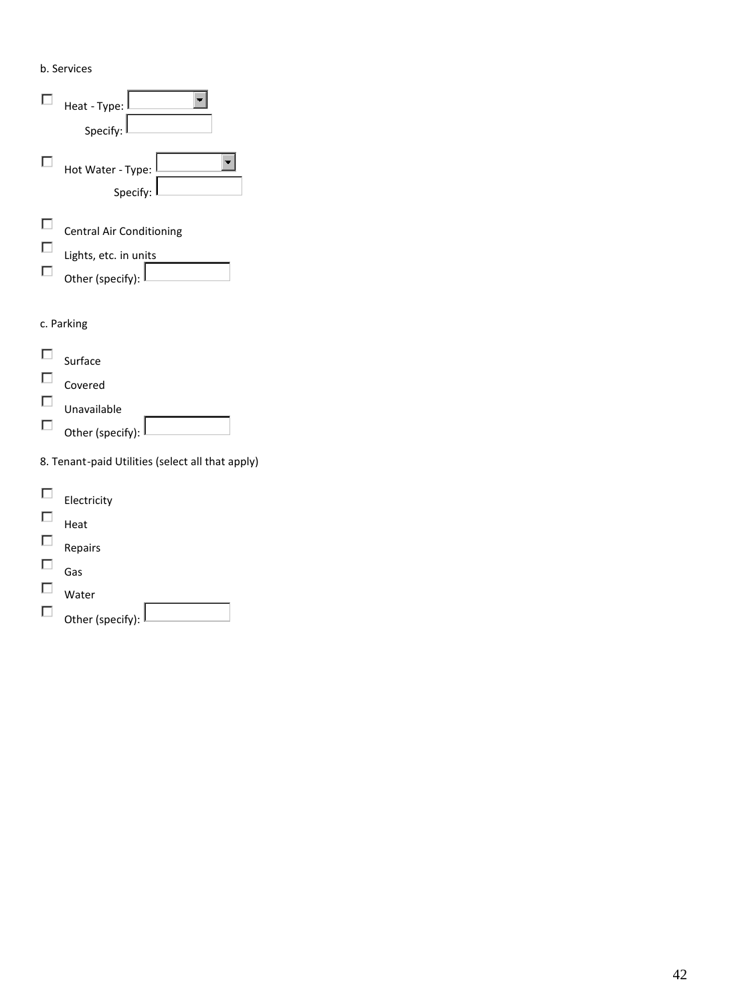b. Services



| Other (specify): |  |
|------------------|--|
|                  |  |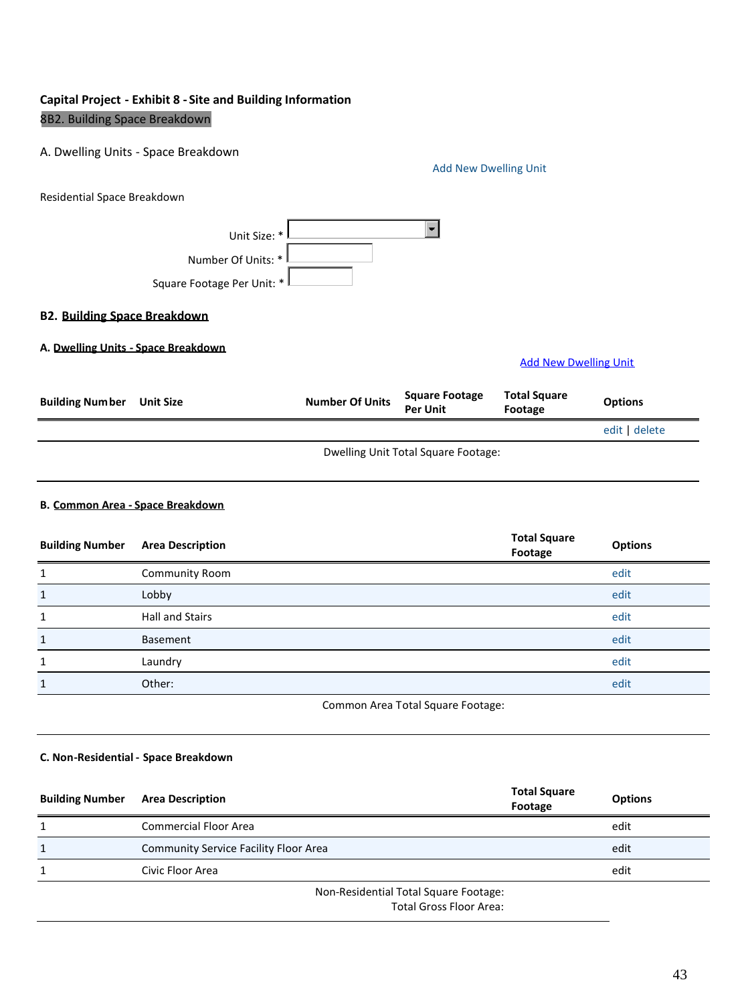# **Capital Project - Exhibit 8 - Site and Building Information** 8B2. Building Space Breakdown

#### A. Dwelling Units - Space Breakdown

|                                     |                                                                  |                        | <b>Add New Dwelling Unit</b>             |                                |                |
|-------------------------------------|------------------------------------------------------------------|------------------------|------------------------------------------|--------------------------------|----------------|
| Residential Space Breakdown         |                                                                  |                        |                                          |                                |                |
|                                     | Unit Size: *<br>Number Of Units: *<br>Square Footage Per Unit: * |                        | $\overline{\phantom{a}}$                 |                                |                |
| <b>B2. Building Space Breakdown</b> |                                                                  |                        |                                          |                                |                |
| A. Dwelling Units - Space Breakdown |                                                                  |                        |                                          | <b>Add New Dwelling Unit</b>   |                |
| <b>Building Number</b>              | <b>Unit Size</b>                                                 | <b>Number Of Units</b> | <b>Square Footage</b><br><b>Per Unit</b> | <b>Total Square</b><br>Footage | <b>Options</b> |
|                                     |                                                                  |                        |                                          |                                | edit delete    |
|                                     |                                                                  |                        | Dwelling Unit Total Square Footage:      |                                |                |

### **B. Common Area - Space Breakdown**

| <b>Building Number</b> | <b>Area Description</b>           | <b>Total Square</b><br>Footage | <b>Options</b> |
|------------------------|-----------------------------------|--------------------------------|----------------|
| 1                      | <b>Community Room</b>             |                                | edit           |
| $\mathbf{1}$           | Lobby                             |                                | edit           |
| $\mathbf{1}$           | Hall and Stairs                   |                                | edit           |
| $\mathbf{1}$           | Basement                          |                                | edit           |
| $\mathbf{1}$           | Laundry                           |                                | edit           |
| $\mathbf{1}$           | Other:                            |                                | edit           |
|                        | Common Area Total Square Footage: |                                |                |

#### **C. Non-Residential - Space Breakdown**

| <b>Building Number</b> | <b>Area Description</b>                                          | <b>Total Square</b><br>Footage | <b>Options</b> |
|------------------------|------------------------------------------------------------------|--------------------------------|----------------|
|                        | <b>Commercial Floor Area</b>                                     |                                | edit           |
| $\mathbf{1}$           | <b>Community Service Facility Floor Area</b>                     |                                | edit           |
|                        | Civic Floor Area                                                 |                                | edit           |
|                        | Non-Residential Total Square Footage:<br>Total Cross Floor Arosi |                                |                |

Total Gross Floor Area: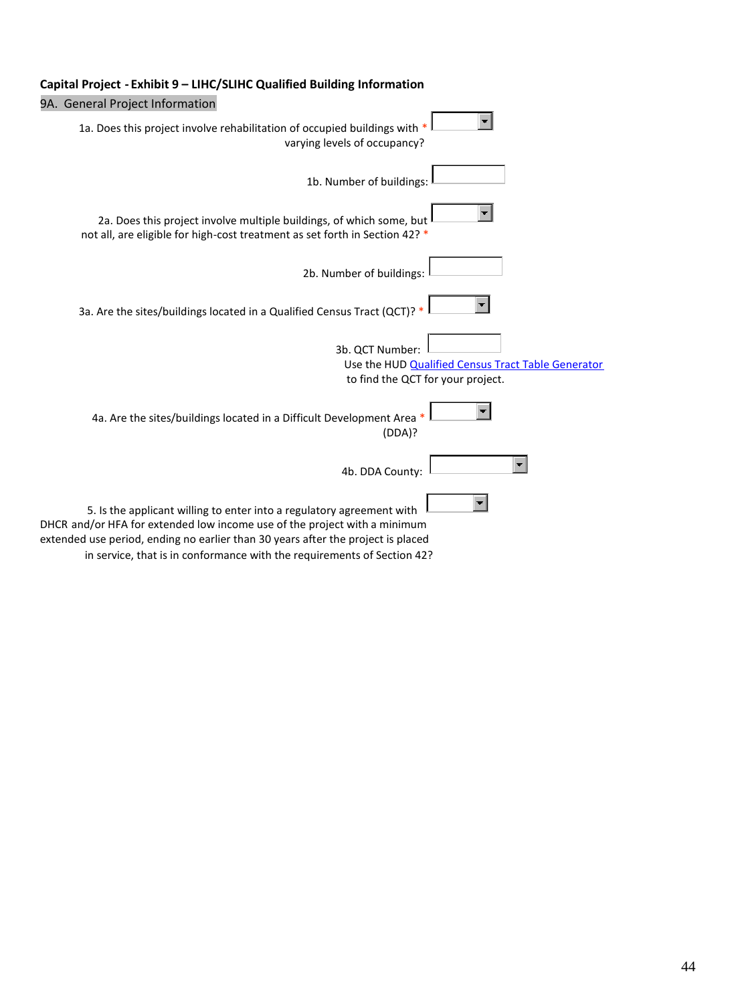

## **Capital Project - Exhibit 9 – LIHC/SLIHC Qualified Building Information**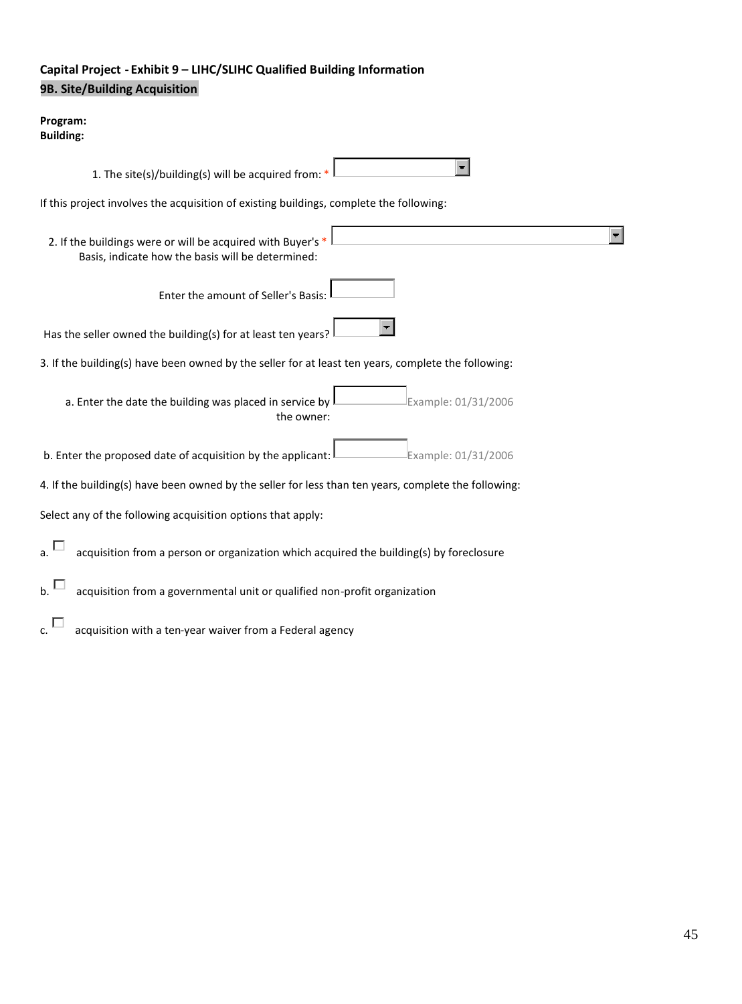# **Capital Project - Exhibit 9 – LIHC/SLIHC Qualified Building Information 9B. Site/Building Acquisition**

#### **Program: Building:**

| 1. The site(s)/building(s) will be acquired from: $*$                                                            |                     |
|------------------------------------------------------------------------------------------------------------------|---------------------|
| If this project involves the acquisition of existing buildings, complete the following:                          |                     |
| 2. If the buildings were or will be acquired with Buyer's *<br>Basis, indicate how the basis will be determined: |                     |
| Enter the amount of Seller's Basis:                                                                              |                     |
| Has the seller owned the building(s) for at least ten years?                                                     |                     |
| 3. If the building(s) have been owned by the seller for at least ten years, complete the following:              |                     |
| a. Enter the date the building was placed in service by<br>the owner:                                            | Example: 01/31/2006 |
| b. Enter the proposed date of acquisition by the applicant:                                                      | Example: 01/31/2006 |
| 4. If the building(s) have been owned by the seller for less than ten years, complete the following:             |                     |
| Select any of the following acquisition options that apply:                                                      |                     |
| a. <sup>I</sup><br>acquisition from a person or organization which acquired the building(s) by foreclosure       |                     |
| acquisition from a governmental unit or qualified non-profit organization                                        |                     |
| acquisition with a ten-year waiver from a Federal agency<br>Ċ.                                                   |                     |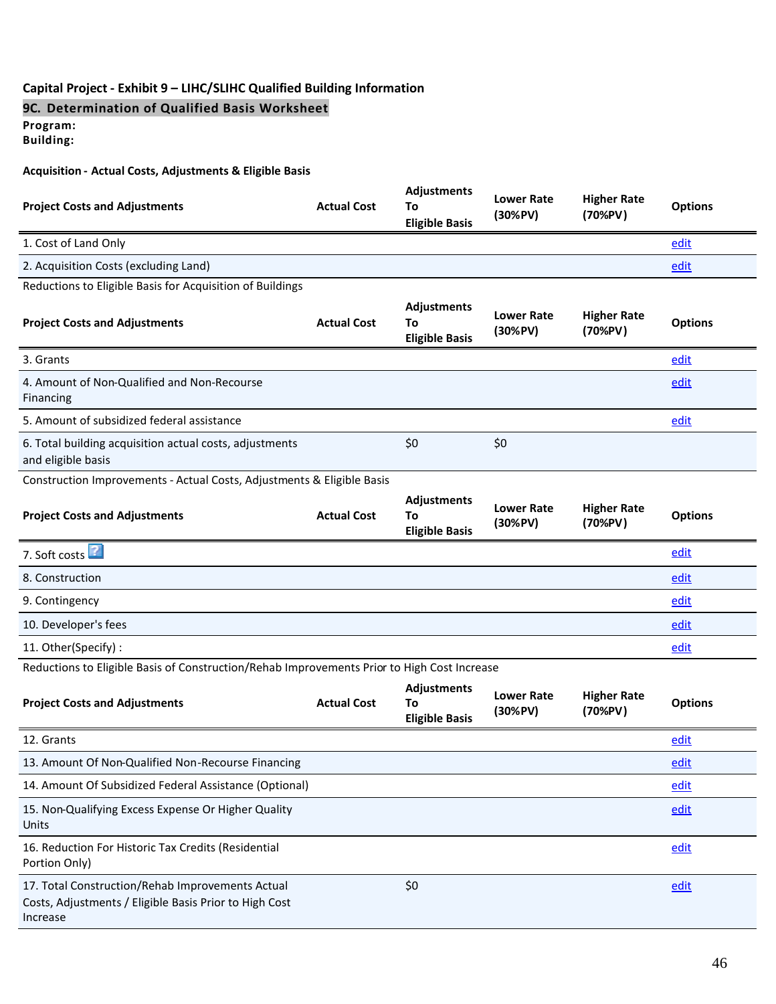### **Capital Project - Exhibit 9 – LIHC/SLIHC Qualified Building Information**

## **9C. Determination of Qualified Basis Worksheet**

**Program:**

**Building:**

#### **Acquisition - Actual Costs, Adjustments & Eligible Basis**

| <b>Project Costs and Adjustments</b>                                                        | <b>Actual Cost</b> | <b>Adjustments</b><br>To<br><b>Eligible Basis</b> | <b>Lower Rate</b><br>(30%PV) | <b>Higher Rate</b><br>(70%PV) | <b>Options</b> |  |
|---------------------------------------------------------------------------------------------|--------------------|---------------------------------------------------|------------------------------|-------------------------------|----------------|--|
| 1. Cost of Land Only                                                                        |                    |                                                   |                              |                               | edit           |  |
| 2. Acquisition Costs (excluding Land)                                                       |                    |                                                   |                              |                               | edit           |  |
| Reductions to Eligible Basis for Acquisition of Buildings                                   |                    |                                                   |                              |                               |                |  |
| <b>Project Costs and Adjustments</b>                                                        | <b>Actual Cost</b> | <b>Adjustments</b><br>To<br><b>Eligible Basis</b> | <b>Lower Rate</b><br>(30%PV) | <b>Higher Rate</b><br>(70%PV) | <b>Options</b> |  |
| 3. Grants                                                                                   |                    |                                                   |                              |                               | edit           |  |
| 4. Amount of Non-Qualified and Non-Recourse<br>Financing                                    |                    |                                                   |                              |                               | edit           |  |
| 5. Amount of subsidized federal assistance                                                  |                    |                                                   |                              |                               | edit           |  |
| 6. Total building acquisition actual costs, adjustments<br>and eligible basis               |                    | \$0                                               | \$0                          |                               |                |  |
| Construction Improvements - Actual Costs, Adjustments & Eligible Basis                      |                    |                                                   |                              |                               |                |  |
|                                                                                             |                    |                                                   |                              |                               |                |  |
| <b>Project Costs and Adjustments</b>                                                        | <b>Actual Cost</b> | Adjustments<br>To<br><b>Eligible Basis</b>        | <b>Lower Rate</b><br>(30%PV) | <b>Higher Rate</b><br>(70%PV) | <b>Options</b> |  |
| 7. Soft costs                                                                               |                    |                                                   |                              |                               | edit           |  |
| 8. Construction                                                                             |                    |                                                   |                              |                               | edit           |  |
| 9. Contingency                                                                              |                    |                                                   |                              |                               | edit           |  |
| 10. Developer's fees                                                                        |                    |                                                   |                              |                               | edit           |  |
| 11. Other(Specify):                                                                         |                    |                                                   |                              |                               | edit           |  |
| Reductions to Eligible Basis of Construction/Rehab Improvements Prior to High Cost Increase |                    |                                                   |                              |                               |                |  |
| <b>Project Costs and Adjustments</b>                                                        | <b>Actual Cost</b> | Adjustments<br>To<br><b>Eligible Basis</b>        | <b>Lower Rate</b><br>(30%PV) | <b>Higher Rate</b><br>(70%PV) | <b>Options</b> |  |
| 12. Grants                                                                                  |                    |                                                   |                              |                               | edit           |  |
| 13. Amount Of Non-Qualified Non-Recourse Financing                                          |                    |                                                   |                              |                               | edit           |  |

15. Non-Qualifying Excess Expense Or Higher Quality Units 16. Reduction For Historic Tax Credits (Residential Portion Only)

17. Total Construction/Rehab Improvements Actual Costs, Adjustments / Eligible Basis Prior to High Cost Increase

edit

edit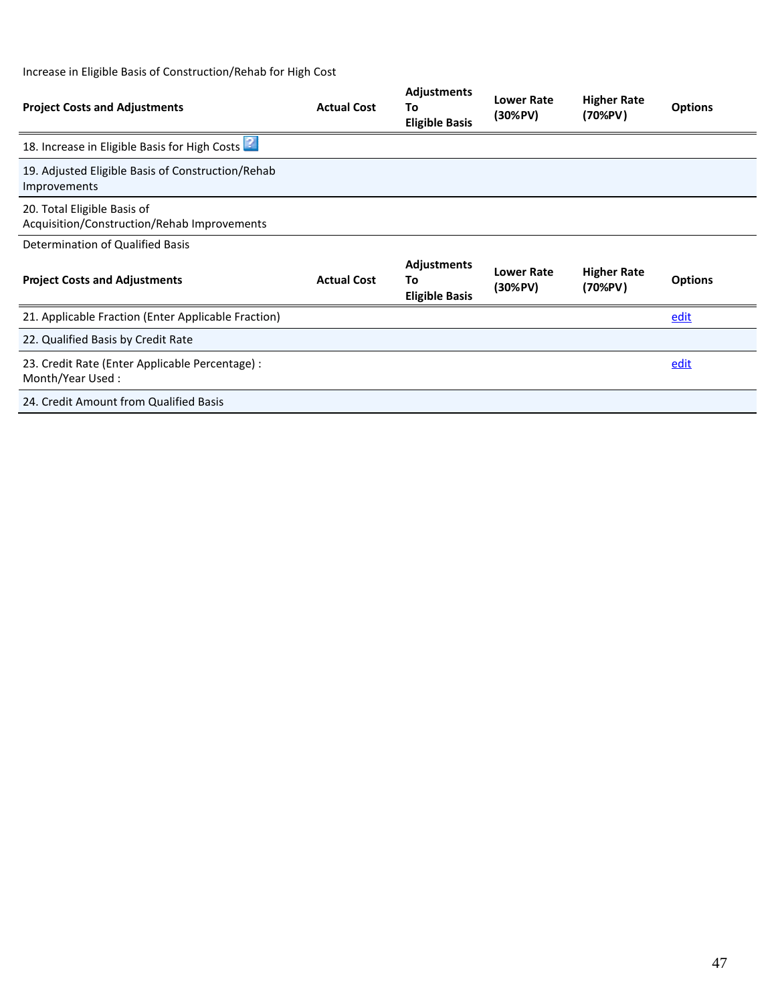# Increase in Eligible Basis of Construction/Rehab for High Cost

| <b>Project Costs and Adjustments</b>                                       | <b>Actual Cost</b> | <b>Adjustments</b><br>To<br><b>Eligible Basis</b> | <b>Lower Rate</b><br>$(30\%$ PV) | <b>Higher Rate</b><br>(70%PV) | <b>Options</b> |
|----------------------------------------------------------------------------|--------------------|---------------------------------------------------|----------------------------------|-------------------------------|----------------|
| 18. Increase in Eligible Basis for High Costs                              |                    |                                                   |                                  |                               |                |
| 19. Adjusted Eligible Basis of Construction/Rehab<br>Improvements          |                    |                                                   |                                  |                               |                |
| 20. Total Eligible Basis of<br>Acquisition/Construction/Rehab Improvements |                    |                                                   |                                  |                               |                |
| Determination of Qualified Basis                                           |                    |                                                   |                                  |                               |                |
| <b>Project Costs and Adjustments</b>                                       | <b>Actual Cost</b> | <b>Adjustments</b><br>To<br><b>Eligible Basis</b> | <b>Lower Rate</b><br>$(30\%$ PV) | <b>Higher Rate</b><br>(70%PV) | <b>Options</b> |
| 21. Applicable Fraction (Enter Applicable Fraction)                        |                    |                                                   |                                  |                               | edit           |
| 22. Qualified Basis by Credit Rate                                         |                    |                                                   |                                  |                               |                |
| 23. Credit Rate (Enter Applicable Percentage) :<br>Month/Year Used:        |                    |                                                   |                                  |                               | edit           |
| 24. Credit Amount from Qualified Basis                                     |                    |                                                   |                                  |                               |                |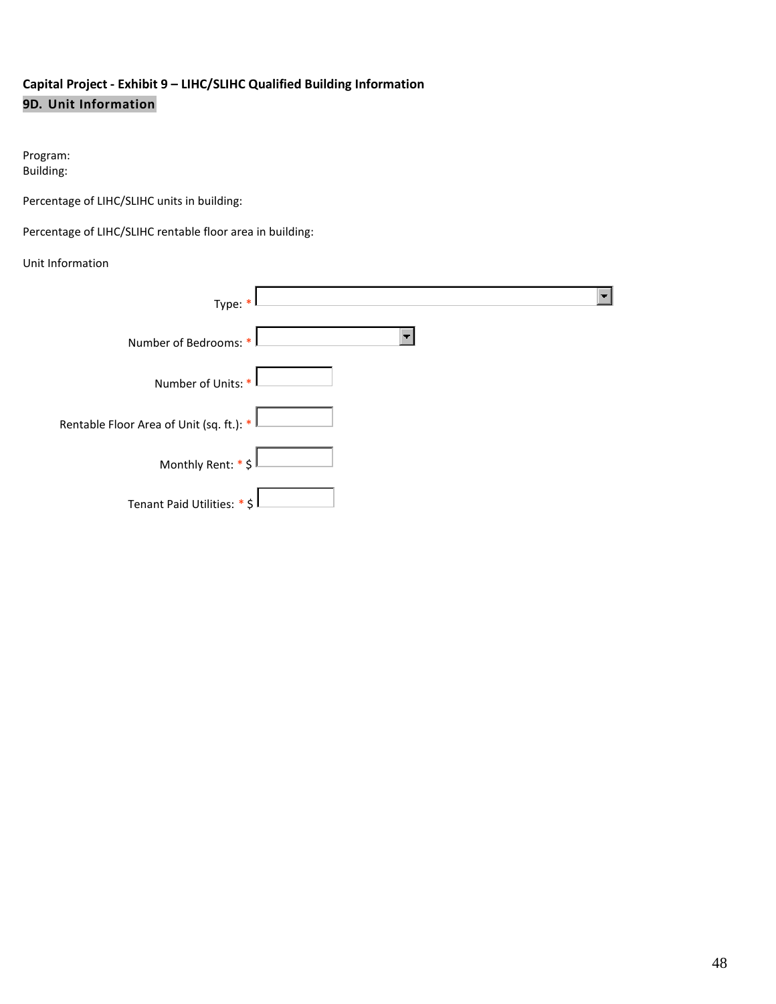# **Capital Project - Exhibit 9 – LIHC/SLIHC Qualified Building Information 9D. Unit Information**

## Program: Building:

Percentage of LIHC/SLIHC units in building:

Percentage of LIHC/SLIHC rentable floor area in building:

## Unit Information

| Type: *                                    |  |
|--------------------------------------------|--|
| Number of Bedrooms: *                      |  |
| Number of Units: *                         |  |
| Rentable Floor Area of Unit (sq. ft.): $*$ |  |
| Monthly Rent: $*$ \$                       |  |
| Tenant Paid Utilities: * \$                |  |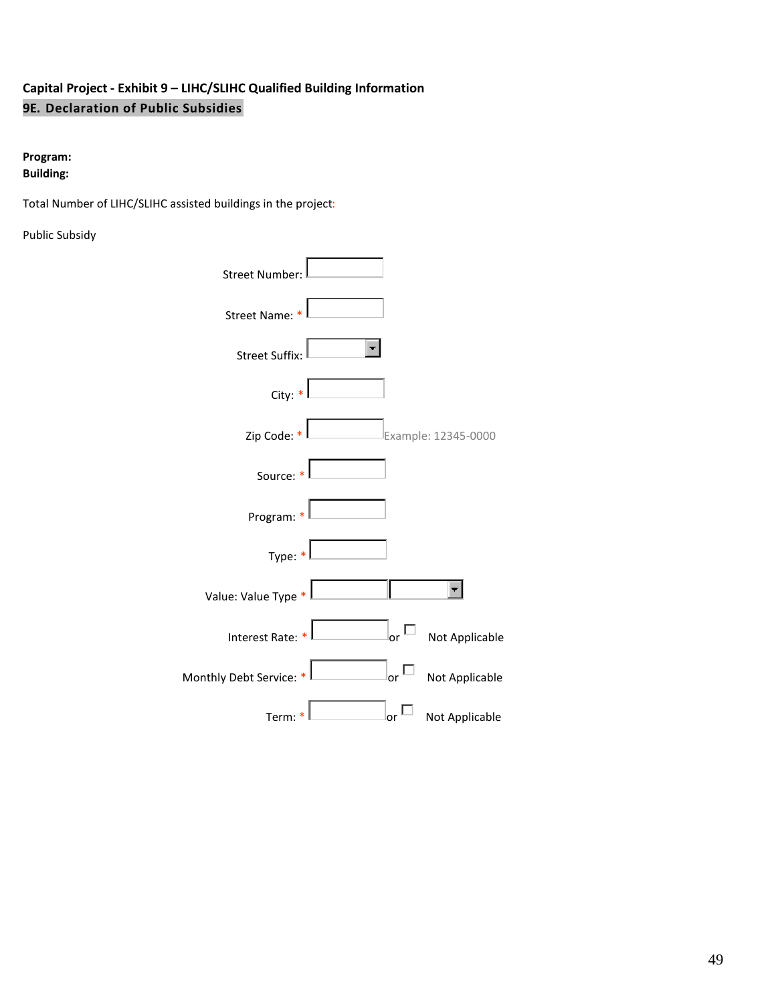# **Capital Project - Exhibit 9 – LIHC/SLIHC Qualified Building Information 9E. Declaration of Public Subsidies**

## **Program: Building:**

Total Number of LIHC/SLIHC assisted buildings in the project:

Public Subsidy

| Street Number                        |                      |
|--------------------------------------|----------------------|
| Street Name: *                       |                      |
| <b>Street Suffix:</b>                |                      |
| City: $*$                            |                      |
| Zip Code: *                          | Example: 12345-0000  |
| Source: *                            |                      |
| Program: *                           |                      |
| Type: $*$                            |                      |
| Value: Value Type *                  |                      |
| Interest Rate: *                     | or<br>Not Applicable |
| Monthly Debt Service: * <sup> </sup> | or<br>Not Applicable |
| Term:                                | Not Applicable<br>or |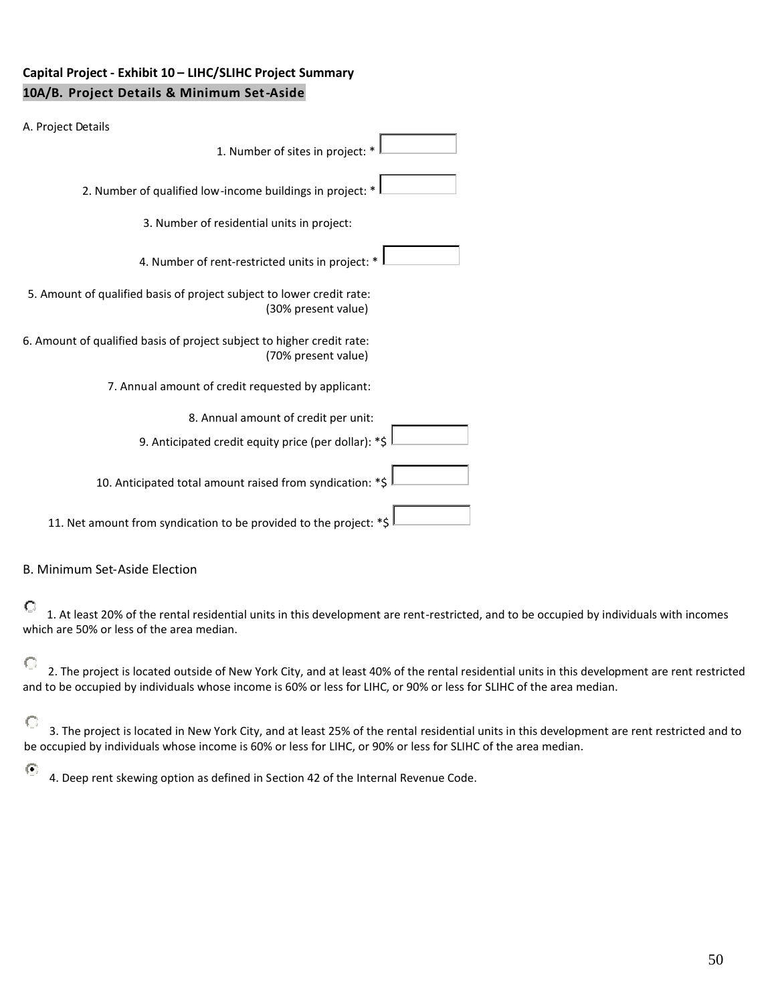# **Capital Project - Exhibit 10 – LIHC/SLIHC Project Summary 10A/B. Project Details & Minimum Set-Aside**

| A. Project Details                                                                            |
|-----------------------------------------------------------------------------------------------|
| 1. Number of sites in project: *                                                              |
| 2. Number of qualified low-income buildings in project: *                                     |
| 3. Number of residential units in project:                                                    |
| 4. Number of rent-restricted units in project: *                                              |
| 5. Amount of qualified basis of project subject to lower credit rate:<br>(30% present value)  |
| 6. Amount of qualified basis of project subject to higher credit rate:<br>(70% present value) |
| 7. Annual amount of credit requested by applicant:                                            |
| 8. Annual amount of credit per unit:                                                          |
| 9. Anticipated credit equity price (per dollar): *\$                                          |
| 10. Anticipated total amount raised from syndication: *\$                                     |
| 11. Net amount from syndication to be provided to the project: *\$                            |

#### B. Minimum Set-Aside Election

# $\bigcirc$

1. At least 20% of the rental residential units in this development are rent-restricted, and to be occupied by individuals with incomes which are 50% or less of the area median.

#### $\circ$ 2. The project is located outside of New York City, and at least 40% of the rental residential units in this development are rent restricted and to be occupied by individuals whose income is 60% or less for LIHC, or 90% or less for SLIHC of the area median.

 $\circ$ 3. The project is located in New York City, and at least 25% of the rental residential units in this development are rent restricted and to be occupied by individuals whose income is 60% or less for LIHC, or 90% or less for SLIHC of the area median.

#### $\odot$

4. Deep rent skewing option as defined in Section 42 of the Internal Revenue Code.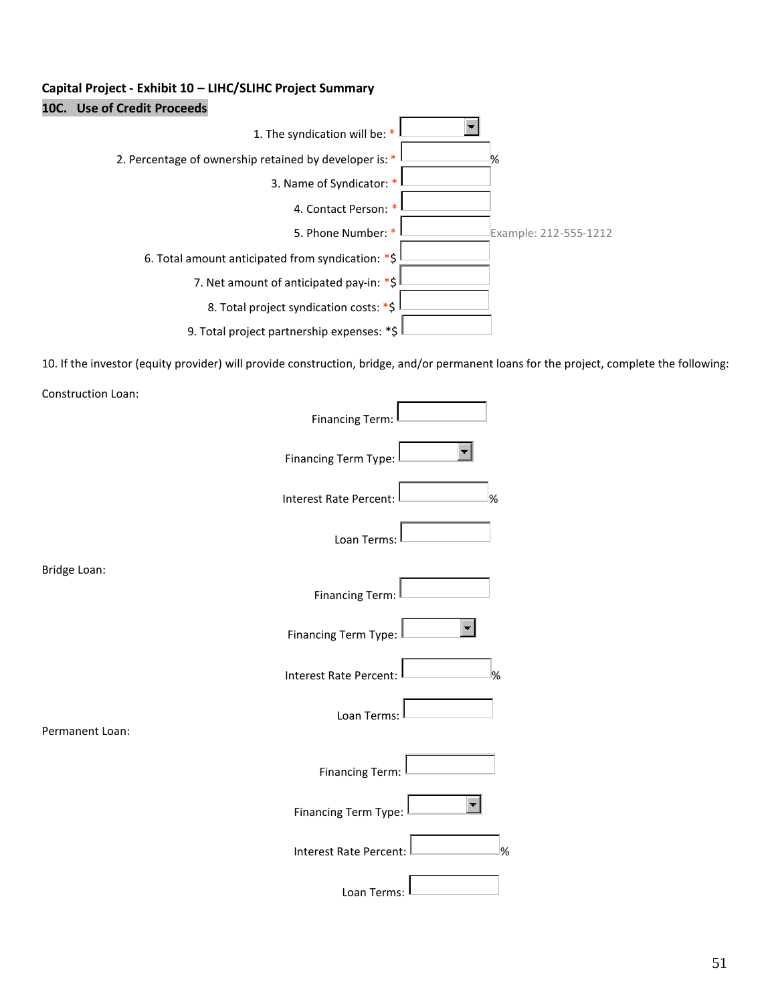# **Capital Project - Exhibit 10 – LIHC/SLIHC Project Summary 10C. Use of Credit Proceeds**



10. If the investor (equity provider) will provide construction, bridge, and/or permanent loans for the project, complete the following:

| Construction Loan: |                                    |  |
|--------------------|------------------------------------|--|
|                    | <b>Financing Term:</b>             |  |
|                    | Financing Term Type:               |  |
|                    | Interest Rate Percent:<br>%        |  |
|                    | Loan Terms:                        |  |
| Bridge Loan:       |                                    |  |
|                    | <b>Financing Term:</b>             |  |
|                    | Financing Term Type:               |  |
|                    | <b>Interest Rate Percent:</b><br>% |  |
| Permanent Loan:    | Loan Terms:                        |  |
|                    | <b>Financing Term:</b>             |  |
|                    | <b>Financing Term Type:</b>        |  |
|                    | <b>Interest Rate Percent:</b><br>% |  |
|                    | Loan Terms:                        |  |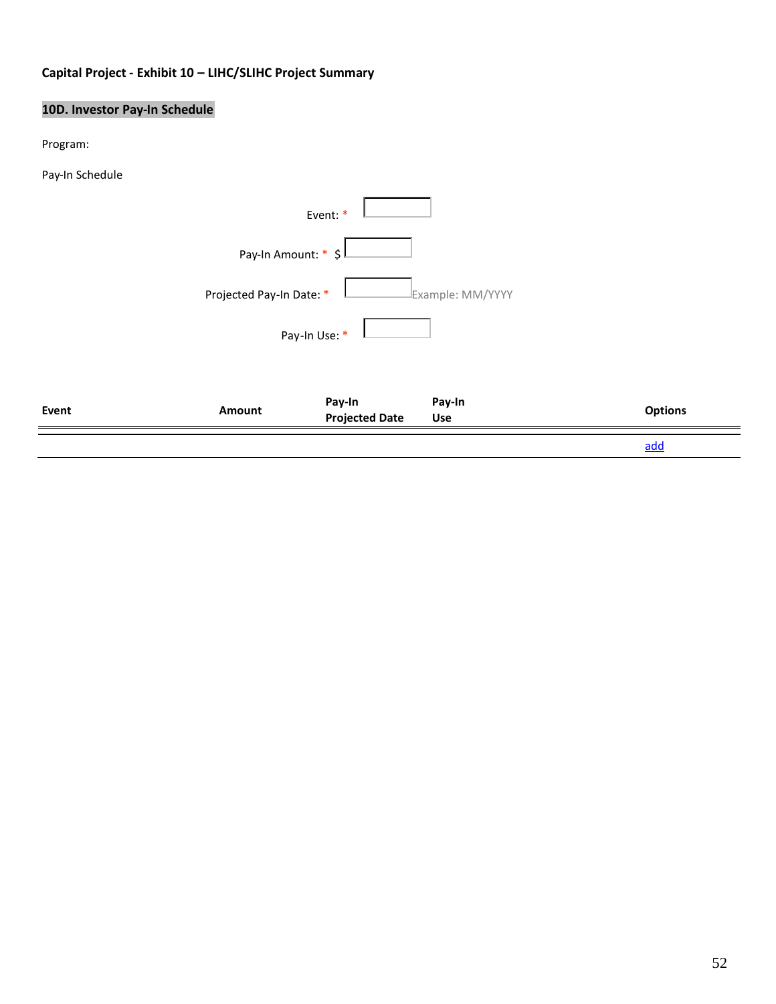# **Capital Project - Exhibit 10 – LIHC/SLIHC Project Summary**

# **10D. Investor Pay-In Schedule**

Program:

Pay-In Schedule

|       |                          |                                 |                  | add            |
|-------|--------------------------|---------------------------------|------------------|----------------|
| Event | Amount                   | Pay-In<br><b>Projected Date</b> | Pay-In<br>Use    | <b>Options</b> |
|       |                          | Pay-In Use: *                   |                  |                |
|       | Projected Pay-In Date: * |                                 | Example: MM/YYYY |                |
|       | Pay-In Amount: * \$      |                                 |                  |                |
|       |                          | Event: *                        |                  |                |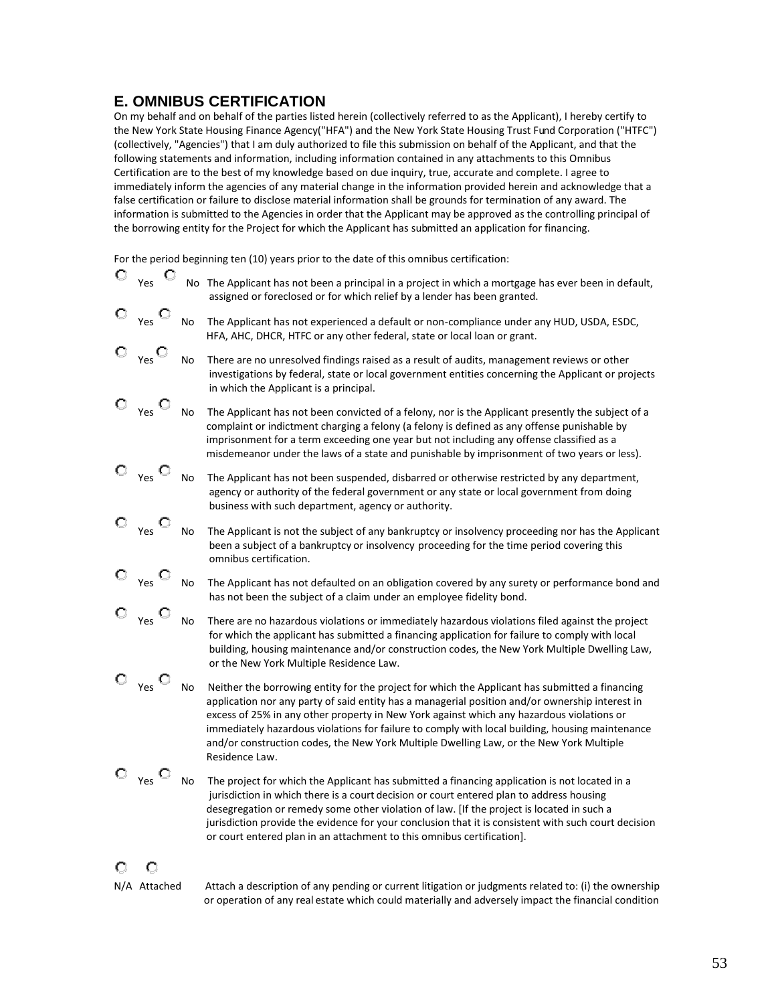# **E. OMNIBUS CERTIFICATION**

On my behalf and on behalf of the parties listed herein (collectively referred to as the Applicant), I hereby certify to the New York State Housing Finance Agency("HFA") and the New York State Housing Trust Fund Corporation ("HTFC") (collectively, "Agencies") that I am duly authorized to file this submission on behalf of the Applicant, and that the following statements and information, including information contained in any attachments to this Omnibus Certification are to the best of my knowledge based on due inquiry, true, accurate and complete. I agree to immediately inform the agencies of any material change in the information provided herein and acknowledge that a false certification or failure to disclose material information shall be grounds for termination of any award. The information is submitted to the Agencies in order that the Applicant may be approved as the controlling principal of the borrowing entity for the Project for which the Applicant has submitted an application for financing.

For the period beginning ten (10) years prior to the date of this omnibus certification:

| O | О<br>Yes |           | No The Applicant has not been a principal in a project in which a mortgage has ever been in default,<br>assigned or foreclosed or for which relief by a lender has been granted.                                                                                                                                                                                                                                                                                                                               |
|---|----------|-----------|----------------------------------------------------------------------------------------------------------------------------------------------------------------------------------------------------------------------------------------------------------------------------------------------------------------------------------------------------------------------------------------------------------------------------------------------------------------------------------------------------------------|
|   | Yes      | No        | The Applicant has not experienced a default or non-compliance under any HUD, USDA, ESDC,<br>HFA, AHC, DHCR, HTFC or any other federal, state or local loan or grant.                                                                                                                                                                                                                                                                                                                                           |
|   | Yes      | No        | There are no unresolved findings raised as a result of audits, management reviews or other<br>investigations by federal, state or local government entities concerning the Applicant or projects<br>in which the Applicant is a principal.                                                                                                                                                                                                                                                                     |
|   | Yes      | No        | The Applicant has not been convicted of a felony, nor is the Applicant presently the subject of a<br>complaint or indictment charging a felony (a felony is defined as any offense punishable by<br>imprisonment for a term exceeding one year but not including any offense classified as a<br>misdemeanor under the laws of a state and punishable by imprisonment of two years or less).                                                                                                                    |
|   | Yes      | No        | The Applicant has not been suspended, disbarred or otherwise restricted by any department,<br>agency or authority of the federal government or any state or local government from doing<br>business with such department, agency or authority.                                                                                                                                                                                                                                                                 |
|   | Yes      | No        | The Applicant is not the subject of any bankruptcy or insolvency proceeding nor has the Applicant<br>been a subject of a bankruptcy or insolvency proceeding for the time period covering this<br>omnibus certification.                                                                                                                                                                                                                                                                                       |
|   | Yes      | No        | The Applicant has not defaulted on an obligation covered by any surety or performance bond and<br>has not been the subject of a claim under an employee fidelity bond.                                                                                                                                                                                                                                                                                                                                         |
|   | Yes      | <b>No</b> | There are no hazardous violations or immediately hazardous violations filed against the project<br>for which the applicant has submitted a financing application for failure to comply with local<br>building, housing maintenance and/or construction codes, the New York Multiple Dwelling Law,<br>or the New York Multiple Residence Law.                                                                                                                                                                   |
|   | Yes      | No        | Neither the borrowing entity for the project for which the Applicant has submitted a financing<br>application nor any party of said entity has a managerial position and/or ownership interest in<br>excess of 25% in any other property in New York against which any hazardous violations or<br>immediately hazardous violations for failure to comply with local building, housing maintenance<br>and/or construction codes, the New York Multiple Dwelling Law, or the New York Multiple<br>Residence Law. |
|   | Yes      | No        | The project for which the Applicant has submitted a financing application is not located in a<br>jurisdiction in which there is a court decision or court entered plan to address housing<br>desegregation or remedy some other violation of law. [If the project is located in such a<br>jurisdiction provide the evidence for your conclusion that it is consistent with such court decision<br>or court entered plan in an attachment to this omnibus certification].                                       |
|   |          |           |                                                                                                                                                                                                                                                                                                                                                                                                                                                                                                                |

N/A Attached Attach a description of any pending or current litigation or judgments related to: (i) the ownership or operation of any real estate which could materially and adversely impact the financial condition